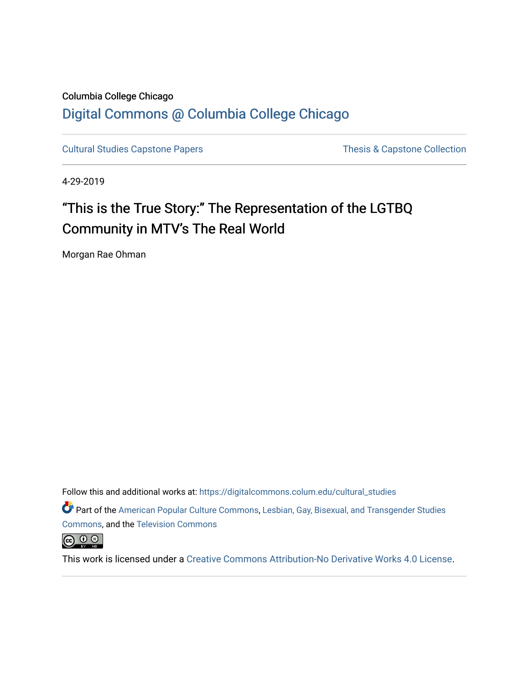## Columbia College Chicago [Digital Commons @ Columbia College Chicago](https://digitalcommons.colum.edu/)

[Cultural Studies Capstone Papers](https://digitalcommons.colum.edu/cultural_studies) Thesis & Capstone Collection

4-29-2019

# "This is the True Story:" The Representation of the LGTBQ Community in MTV's The Real World

Morgan Rae Ohman

Follow this and additional works at: [https://digitalcommons.colum.edu/cultural\\_studies](https://digitalcommons.colum.edu/cultural_studies?utm_source=digitalcommons.colum.edu%2Fcultural_studies%2F66&utm_medium=PDF&utm_campaign=PDFCoverPages) 

Part of the [American Popular Culture Commons,](http://network.bepress.com/hgg/discipline/443?utm_source=digitalcommons.colum.edu%2Fcultural_studies%2F66&utm_medium=PDF&utm_campaign=PDFCoverPages) [Lesbian, Gay, Bisexual, and Transgender Studies](http://network.bepress.com/hgg/discipline/560?utm_source=digitalcommons.colum.edu%2Fcultural_studies%2F66&utm_medium=PDF&utm_campaign=PDFCoverPages) [Commons](http://network.bepress.com/hgg/discipline/560?utm_source=digitalcommons.colum.edu%2Fcultural_studies%2F66&utm_medium=PDF&utm_campaign=PDFCoverPages), and the [Television Commons](http://network.bepress.com/hgg/discipline/1143?utm_source=digitalcommons.colum.edu%2Fcultural_studies%2F66&utm_medium=PDF&utm_campaign=PDFCoverPages)



This work is licensed under a [Creative Commons Attribution-No Derivative Works 4.0 License.](https://creativecommons.org/licenses/by-nd/4.0/)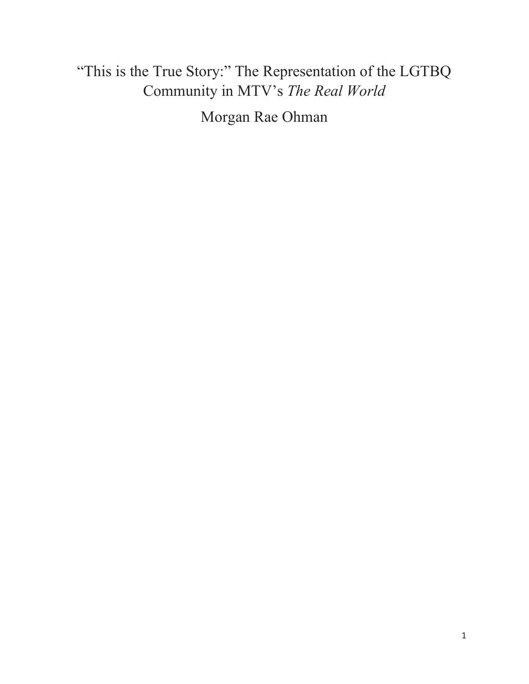# "This is the True Story:" The Representation of the LGTBQ Community in MTV's *The Real World*

Morgan Rae Ohman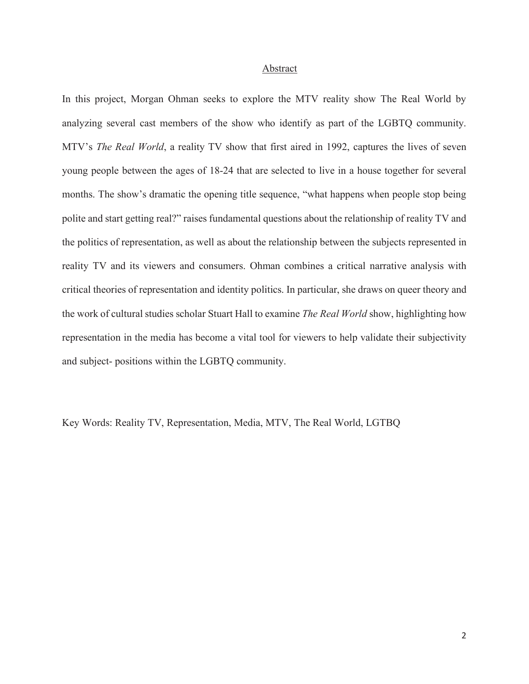#### Abstract

In this project, Morgan Ohman seeks to explore the MTV reality show The Real World by analyzing several cast members of the show who identify as part of the LGBTQ community. MTV's *The Real World*, a reality TV show that first aired in 1992, captures the lives of seven young people between the ages of 18-24 that are selected to live in a house together for several months. The show's dramatic the opening title sequence, "what happens when people stop being polite and start getting real?" raises fundamental questions about the relationship of reality TV and the politics of representation, as well as about the relationship between the subjects represented in reality TV and its viewers and consumers. Ohman combines a critical narrative analysis with critical theories of representation and identity politics. In particular, she draws on queer theory and the work of cultural studies scholar Stuart Hall to examine *The Real World* show, highlighting how representation in the media has become a vital tool for viewers to help validate their subjectivity and subject- positions within the LGBTQ community.

Key Words: Reality TV, Representation, Media, MTV, The Real World, LGTBQ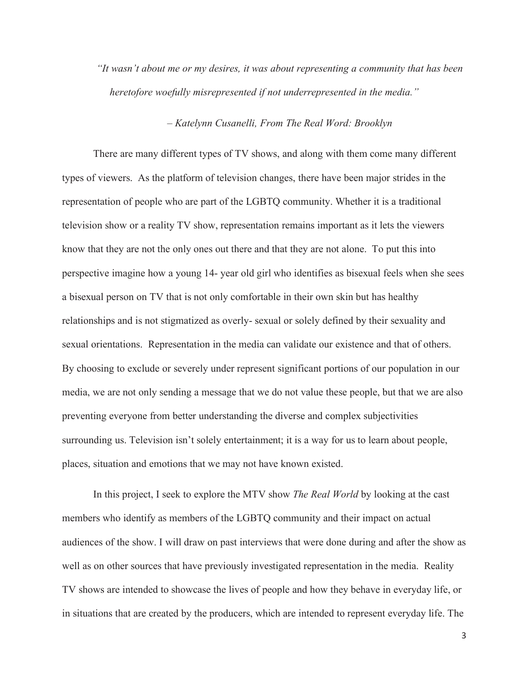*"It wasn't about me or my desires, it was about representing a community that has been heretofore woefully misrepresented if not underrepresented in the media."* 

#### *– Katelynn Cusanelli, From The Real Word: Brooklyn*

There are many different types of TV shows, and along with them come many different types of viewers. As the platform of television changes, there have been major strides in the representation of people who are part of the LGBTQ community. Whether it is a traditional television show or a reality TV show, representation remains important as it lets the viewers know that they are not the only ones out there and that they are not alone. To put this into perspective imagine how a young 14- year old girl who identifies as bisexual feels when she sees a bisexual person on TV that is not only comfortable in their own skin but has healthy relationships and is not stigmatized as overly- sexual or solely defined by their sexuality and sexual orientations. Representation in the media can validate our existence and that of others. By choosing to exclude or severely under represent significant portions of our population in our media, we are not only sending a message that we do not value these people, but that we are also preventing everyone from better understanding the diverse and complex subjectivities surrounding us. Television isn't solely entertainment; it is a way for us to learn about people, places, situation and emotions that we may not have known existed.

In this project, I seek to explore the MTV show *The Real World* by looking at the cast members who identify as members of the LGBTQ community and their impact on actual audiences of the show. I will draw on past interviews that were done during and after the show as well as on other sources that have previously investigated representation in the media. Reality TV shows are intended to showcase the lives of people and how they behave in everyday life, or in situations that are created by the producers, which are intended to represent everyday life. The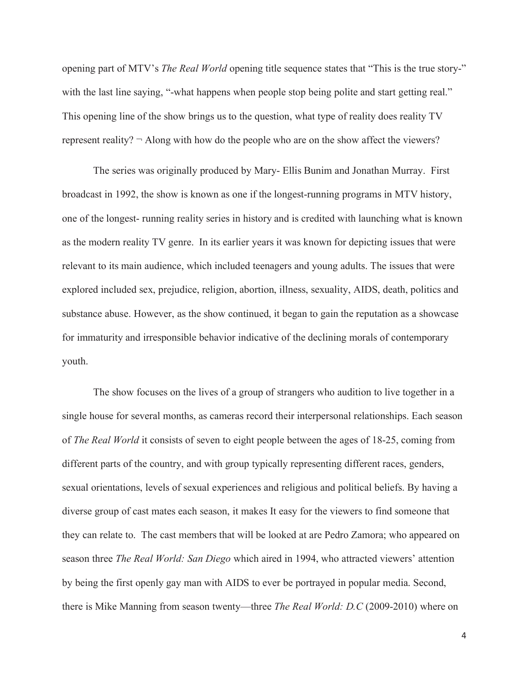opening part of MTV's *The Real World* opening title sequence states that "This is the true story-" with the last line saying, "-what happens when people stop being polite and start getting real." This opening line of the show brings us to the question, what type of reality does reality TV represent reality?  $\neg$  Along with how do the people who are on the show affect the viewers?

The series was originally produced by Mary- Ellis Bunim and Jonathan Murray. First broadcast in 1992, the show is known as one if the longest-running programs in MTV history, one of the longest- running reality series in history and is credited with launching what is known as the modern reality TV genre. In its earlier years it was known for depicting issues that were relevant to its main audience, which included teenagers and young adults. The issues that were explored included sex, prejudice, religion, abortion, illness, sexuality, AIDS, death, politics and substance abuse. However, as the show continued, it began to gain the reputation as a showcase for immaturity and irresponsible behavior indicative of the declining morals of contemporary youth.

The show focuses on the lives of a group of strangers who audition to live together in a single house for several months, as cameras record their interpersonal relationships. Each season of *The Real World* it consists of seven to eight people between the ages of 18-25, coming from different parts of the country, and with group typically representing different races, genders, sexual orientations, levels of sexual experiences and religious and political beliefs. By having a diverse group of cast mates each season, it makes It easy for the viewers to find someone that they can relate to. The cast members that will be looked at are Pedro Zamora; who appeared on season three *The Real World: San Diego* which aired in 1994, who attracted viewers' attention by being the first openly gay man with AIDS to ever be portrayed in popular media. Second, there is Mike Manning from season twenty—three *The Real World: D.C* (2009-2010) where on

 $\overline{4}$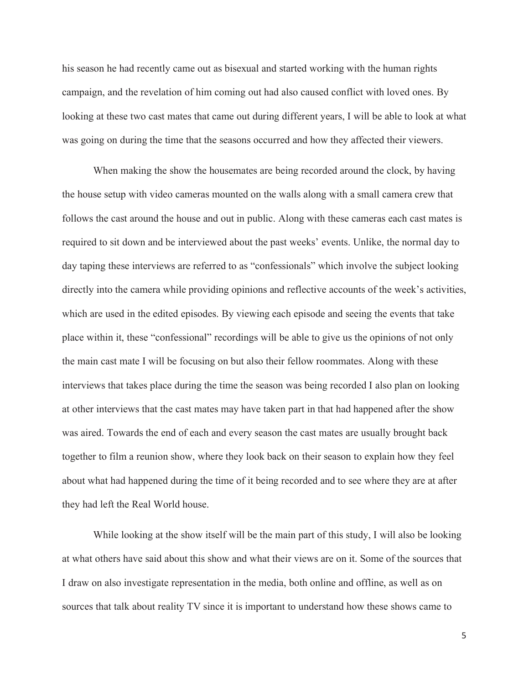his season he had recently came out as bisexual and started working with the human rights campaign, and the revelation of him coming out had also caused conflict with loved ones. By looking at these two cast mates that came out during different years, I will be able to look at what was going on during the time that the seasons occurred and how they affected their viewers.

When making the show the housemates are being recorded around the clock, by having the house setup with video cameras mounted on the walls along with a small camera crew that follows the cast around the house and out in public. Along with these cameras each cast mates is required to sit down and be interviewed about the past weeks' events. Unlike, the normal day to day taping these interviews are referred to as "confessionals" which involve the subject looking directly into the camera while providing opinions and reflective accounts of the week's activities, which are used in the edited episodes. By viewing each episode and seeing the events that take place within it, these "confessional" recordings will be able to give us the opinions of not only the main cast mate I will be focusing on but also their fellow roommates. Along with these interviews that takes place during the time the season was being recorded I also plan on looking at other interviews that the cast mates may have taken part in that had happened after the show was aired. Towards the end of each and every season the cast mates are usually brought back together to film a reunion show, where they look back on their season to explain how they feel about what had happened during the time of it being recorded and to see where they are at after they had left the Real World house.

While looking at the show itself will be the main part of this study, I will also be looking at what others have said about this show and what their views are on it. Some of the sources that I draw on also investigate representation in the media, both online and offline, as well as on sources that talk about reality TV since it is important to understand how these shows came to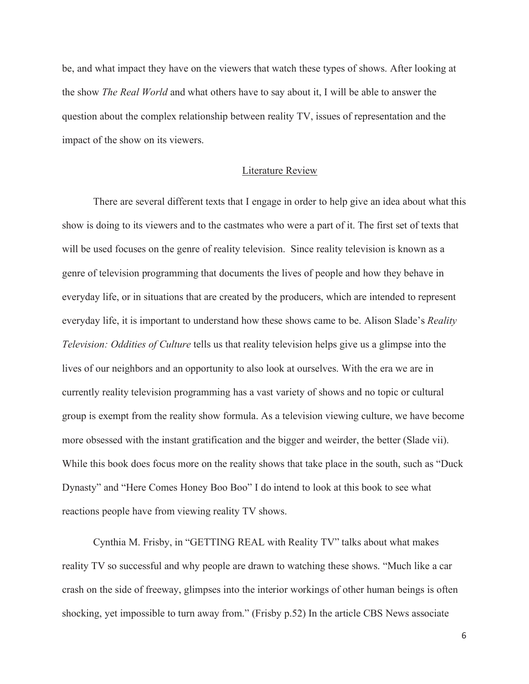be, and what impact they have on the viewers that watch these types of shows. After looking at the show *The Real World* and what others have to say about it, I will be able to answer the question about the complex relationship between reality TV, issues of representation and the impact of the show on its viewers.

### Literature Review

There are several different texts that I engage in order to help give an idea about what this show is doing to its viewers and to the castmates who were a part of it. The first set of texts that will be used focuses on the genre of reality television. Since reality television is known as a genre of television programming that documents the lives of people and how they behave in everyday life, or in situations that are created by the producers, which are intended to represent everyday life, it is important to understand how these shows came to be. Alison Slade's *Reality Television: Oddities of Culture* tells us that reality television helps give us a glimpse into the lives of our neighbors and an opportunity to also look at ourselves. With the era we are in currently reality television programming has a vast variety of shows and no topic or cultural group is exempt from the reality show formula. As a television viewing culture, we have become more obsessed with the instant gratification and the bigger and weirder, the better (Slade vii). While this book does focus more on the reality shows that take place in the south, such as "Duck Dynasty" and "Here Comes Honey Boo Boo" I do intend to look at this book to see what reactions people have from viewing reality TV shows.

Cynthia M. Frisby, in "GETTING REAL with Reality TV" talks about what makes reality TV so successful and why people are drawn to watching these shows. "Much like a car crash on the side of freeway, glimpses into the interior workings of other human beings is often shocking, yet impossible to turn away from." (Frisby p.52) In the article CBS News associate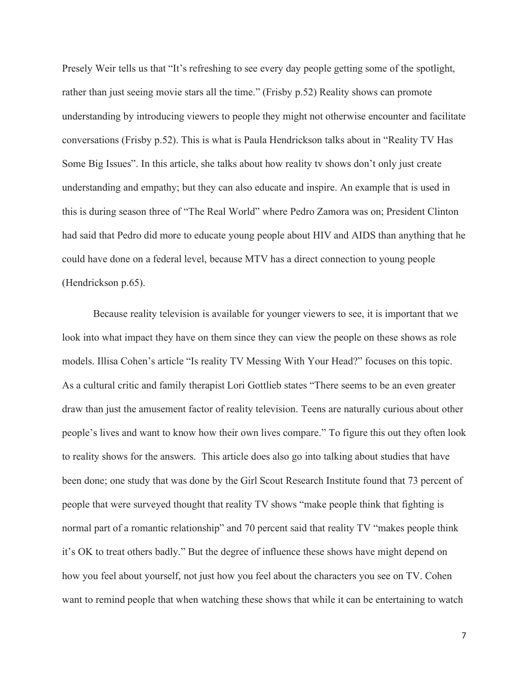Presely Weir tells us that "It's refreshing to see every day people getting some of the spotlight, rather than just seeing movie stars all the time." (Frisby p.52) Reality shows can promote understanding by introducing viewers to people they might not otherwise encounter and facilitate conversations (Frisby p.52). This is what is Paula Hendrickson talks about in "Reality TV Has Some Big Issues". In this article, she talks about how reality tv shows don't only just create understanding and empathy; but they can also educate and inspire. An example that is used in this is during season three of "The Real World" where Pedro Zamora was on; President Clinton had said that Pedro did more to educate young people about HIV and AIDS than anything that he could have done on a federal level, because MTV has a direct connection to young people (Hendrickson p.65).

Because reality television is available for younger viewers to see, it is important that we look into what impact they have on them since they can view the people on these shows as role models. Illisa Cohen's article "Is reality TV Messing With Your Head?" focuses on this topic. As a cultural critic and family therapist Lori Gottlieb states "There seems to be an even greater draw than just the amusement factor of reality television. Teens are naturally curious about other people's lives and want to know how their own lives compare." To figure this out they often look to reality shows for the answers. This article does also go into talking about studies that have been done; one study that was done by the Girl Scout Research Institute found that 73 percent of people that were surveyed thought that reality TV shows "make people think that fighting is normal part of a romantic relationship" and 70 percent said that reality TV "makes people think it's OK to treat others badly." But the degree of influence these shows have might depend on how you feel about yourself, not just how you feel about the characters you see on TV. Cohen want to remind people that when watching these shows that while it can be entertaining to watch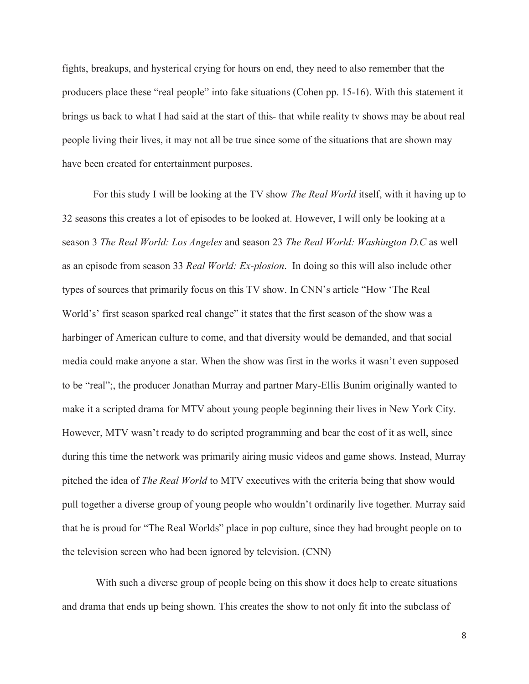fights, breakups, and hysterical crying for hours on end, they need to also remember that the producers place these "real people" into fake situations (Cohen pp. 15-16). With this statement it brings us back to what I had said at the start of this- that while reality tv shows may be about real people living their lives, it may not all be true since some of the situations that are shown may have been created for entertainment purposes.

For this study I will be looking at the TV show *The Real World* itself, with it having up to 32 seasons this creates a lot of episodes to be looked at. However, I will only be looking at a season 3 *The Real World: Los Angeles* and season 23 *The Real World: Washington D.C* as well as an episode from season 33 *Real World: Ex-plosion*. In doing so this will also include other types of sources that primarily focus on this TV show. In CNN's article "How 'The Real World's' first season sparked real change" it states that the first season of the show was a harbinger of American culture to come, and that diversity would be demanded, and that social media could make anyone a star. When the show was first in the works it wasn't even supposed to be "real";, the producer Jonathan Murray and partner Mary-Ellis Bunim originally wanted to make it a scripted drama for MTV about young people beginning their lives in New York City. However, MTV wasn't ready to do scripted programming and bear the cost of it as well, since during this time the network was primarily airing music videos and game shows. Instead, Murray pitched the idea of *The Real World* to MTV executives with the criteria being that show would pull together a diverse group of young people who wouldn't ordinarily live together. Murray said that he is proud for "The Real Worlds" place in pop culture, since they had brought people on to the television screen who had been ignored by television. (CNN)

 With such a diverse group of people being on this show it does help to create situations and drama that ends up being shown. This creates the show to not only fit into the subclass of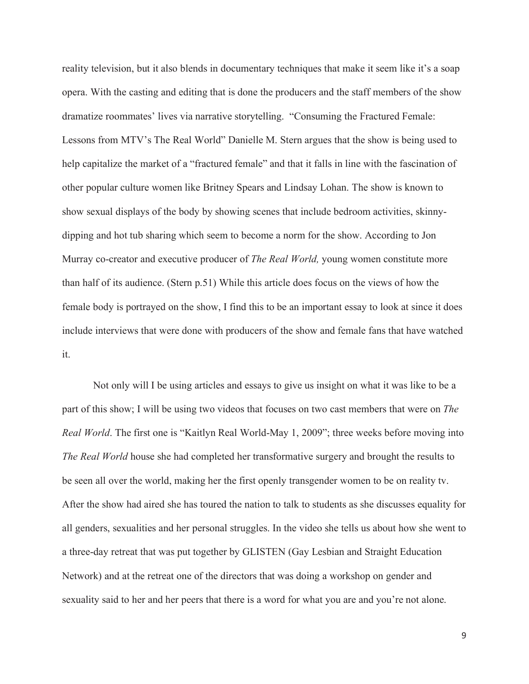reality television, but it also blends in documentary techniques that make it seem like it's a soap opera. With the casting and editing that is done the producers and the staff members of the show dramatize roommates' lives via narrative storytelling. "Consuming the Fractured Female: Lessons from MTV's The Real World" Danielle M. Stern argues that the show is being used to help capitalize the market of a "fractured female" and that it falls in line with the fascination of other popular culture women like Britney Spears and Lindsay Lohan. The show is known to show sexual displays of the body by showing scenes that include bedroom activities, skinnydipping and hot tub sharing which seem to become a norm for the show. According to Jon Murray co-creator and executive producer of *The Real World,* young women constitute more than half of its audience. (Stern p.51) While this article does focus on the views of how the female body is portrayed on the show, I find this to be an important essay to look at since it does include interviews that were done with producers of the show and female fans that have watched it.

Not only will I be using articles and essays to give us insight on what it was like to be a part of this show; I will be using two videos that focuses on two cast members that were on *The Real World*. The first one is "Kaitlyn Real World-May 1, 2009"; three weeks before moving into *The Real World* house she had completed her transformative surgery and brought the results to be seen all over the world, making her the first openly transgender women to be on reality tv. After the show had aired she has toured the nation to talk to students as she discusses equality for all genders, sexualities and her personal struggles. In the video she tells us about how she went to a three-day retreat that was put together by GLISTEN (Gay Lesbian and Straight Education Network) and at the retreat one of the directors that was doing a workshop on gender and sexuality said to her and her peers that there is a word for what you are and you're not alone.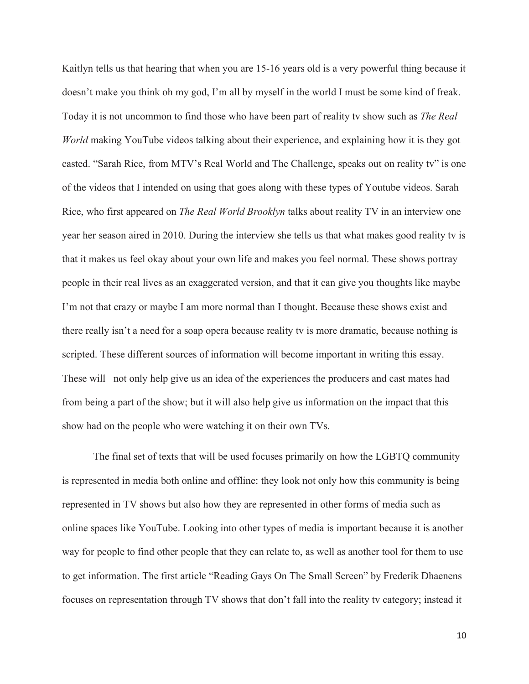Kaitlyn tells us that hearing that when you are 15-16 years old is a very powerful thing because it doesn't make you think oh my god, I'm all by myself in the world I must be some kind of freak. Today it is not uncommon to find those who have been part of reality tv show such as *The Real World* making YouTube videos talking about their experience, and explaining how it is they got casted. "Sarah Rice, from MTV's Real World and The Challenge, speaks out on reality tv" is one of the videos that I intended on using that goes along with these types of Youtube videos. Sarah Rice, who first appeared on *The Real World Brooklyn* talks about reality TV in an interview one year her season aired in 2010. During the interview she tells us that what makes good reality tv is that it makes us feel okay about your own life and makes you feel normal. These shows portray people in their real lives as an exaggerated version, and that it can give you thoughts like maybe I'm not that crazy or maybe I am more normal than I thought. Because these shows exist and there really isn't a need for a soap opera because reality tv is more dramatic, because nothing is scripted. These different sources of information will become important in writing this essay. These will not only help give us an idea of the experiences the producers and cast mates had from being a part of the show; but it will also help give us information on the impact that this show had on the people who were watching it on their own TVs.

The final set of texts that will be used focuses primarily on how the LGBTQ community is represented in media both online and offline: they look not only how this community is being represented in TV shows but also how they are represented in other forms of media such as online spaces like YouTube. Looking into other types of media is important because it is another way for people to find other people that they can relate to, as well as another tool for them to use to get information. The first article "Reading Gays On The Small Screen" by Frederik Dhaenens focuses on representation through TV shows that don't fall into the reality tv category; instead it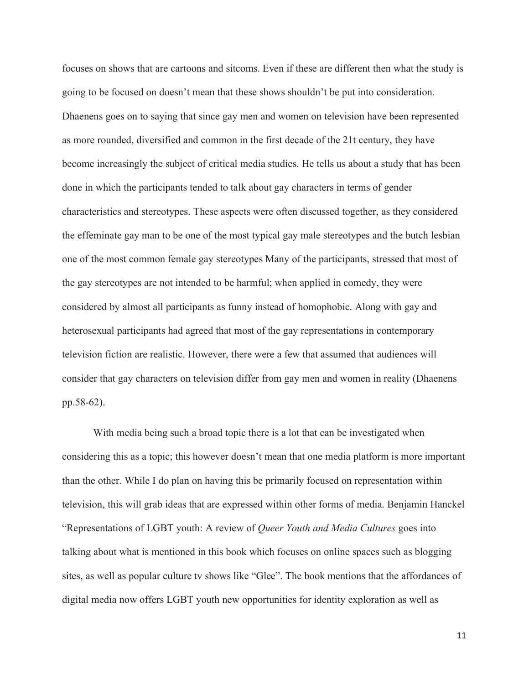focuses on shows that are cartoons and sitcoms. Even if these are different then what the study is going to be focused on doesn't mean that these shows shouldn't be put into consideration. Dhaenens goes on to saying that since gay men and women on television have been represented as more rounded, diversified and common in the first decade of the 21t century, they have become increasingly the subject of critical media studies. He tells us about a study that has been done in which the participants tended to talk about gay characters in terms of gender characteristics and stereotypes. These aspects were often discussed together, as they considered the effeminate gay man to be one of the most typical gay male stereotypes and the butch lesbian one of the most common female gay stereotypes Many of the participants, stressed that most of the gay stereotypes are not intended to be harmful; when applied in comedy, they were considered by almost all participants as funny instead of homophobic. Along with gay and heterosexual participants had agreed that most of the gay representations in contemporary television fiction are realistic. However, there were a few that assumed that audiences will consider that gay characters on television differ from gay men and women in reality (Dhaenens pp.58-62).

With media being such a broad topic there is a lot that can be investigated when considering this as a topic; this however doesn't mean that one media platform is more important than the other. While I do plan on having this be primarily focused on representation within television, this will grab ideas that are expressed within other forms of media. Benjamin Hanckel "Representations of LGBT youth: A review of *Queer Youth and Media Cultures* goes into talking about what is mentioned in this book which focuses on online spaces such as blogging sites, as well as popular culture tv shows like "Glee". The book mentions that the affordances of digital media now offers LGBT youth new opportunities for identity exploration as well as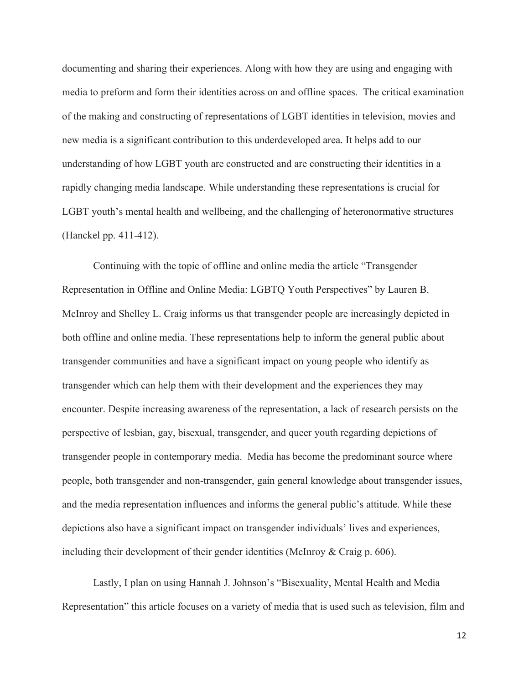documenting and sharing their experiences. Along with how they are using and engaging with media to preform and form their identities across on and offline spaces. The critical examination of the making and constructing of representations of LGBT identities in television, movies and new media is a significant contribution to this underdeveloped area. It helps add to our understanding of how LGBT youth are constructed and are constructing their identities in a rapidly changing media landscape. While understanding these representations is crucial for LGBT youth's mental health and wellbeing, and the challenging of heteronormative structures (Hanckel pp. 411-412).

Continuing with the topic of offline and online media the article "Transgender Representation in Offline and Online Media: LGBTQ Youth Perspectives" by Lauren B. McInroy and Shelley L. Craig informs us that transgender people are increasingly depicted in both offline and online media. These representations help to inform the general public about transgender communities and have a significant impact on young people who identify as transgender which can help them with their development and the experiences they may encounter. Despite increasing awareness of the representation, a lack of research persists on the perspective of lesbian, gay, bisexual, transgender, and queer youth regarding depictions of transgender people in contemporary media. Media has become the predominant source where people, both transgender and non-transgender, gain general knowledge about transgender issues, and the media representation influences and informs the general public's attitude. While these depictions also have a significant impact on transgender individuals' lives and experiences, including their development of their gender identities (McInroy & Craig p. 606).

Lastly, I plan on using Hannah J. Johnson's "Bisexuality, Mental Health and Media Representation" this article focuses on a variety of media that is used such as television, film and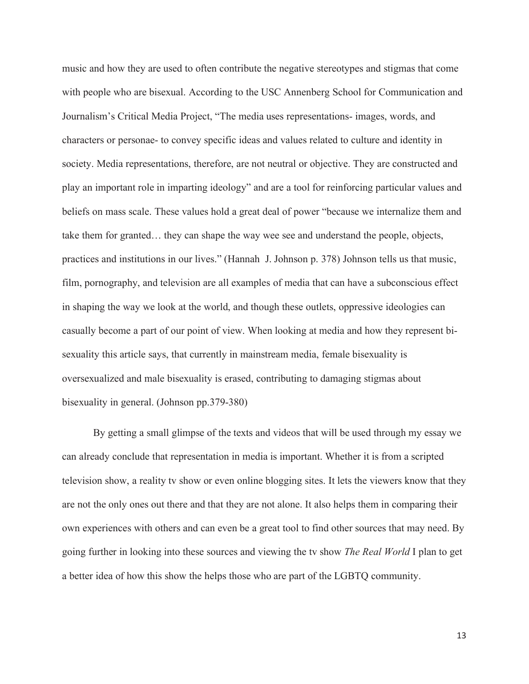music and how they are used to often contribute the negative stereotypes and stigmas that come with people who are bisexual. According to the USC Annenberg School for Communication and Journalism's Critical Media Project, "The media uses representations- images, words, and characters or personae- to convey specific ideas and values related to culture and identity in society. Media representations, therefore, are not neutral or objective. They are constructed and play an important role in imparting ideology" and are a tool for reinforcing particular values and beliefs on mass scale. These values hold a great deal of power "because we internalize them and take them for granted… they can shape the way wee see and understand the people, objects, practices and institutions in our lives." (Hannah J. Johnson p. 378) Johnson tells us that music, film, pornography, and television are all examples of media that can have a subconscious effect in shaping the way we look at the world, and though these outlets, oppressive ideologies can casually become a part of our point of view. When looking at media and how they represent bisexuality this article says, that currently in mainstream media, female bisexuality is oversexualized and male bisexuality is erased, contributing to damaging stigmas about bisexuality in general. (Johnson pp.379-380)

 By getting a small glimpse of the texts and videos that will be used through my essay we can already conclude that representation in media is important. Whether it is from a scripted television show, a reality tv show or even online blogging sites. It lets the viewers know that they are not the only ones out there and that they are not alone. It also helps them in comparing their own experiences with others and can even be a great tool to find other sources that may need. By going further in looking into these sources and viewing the tv show *The Real World* I plan to get a better idea of how this show the helps those who are part of the LGBTQ community.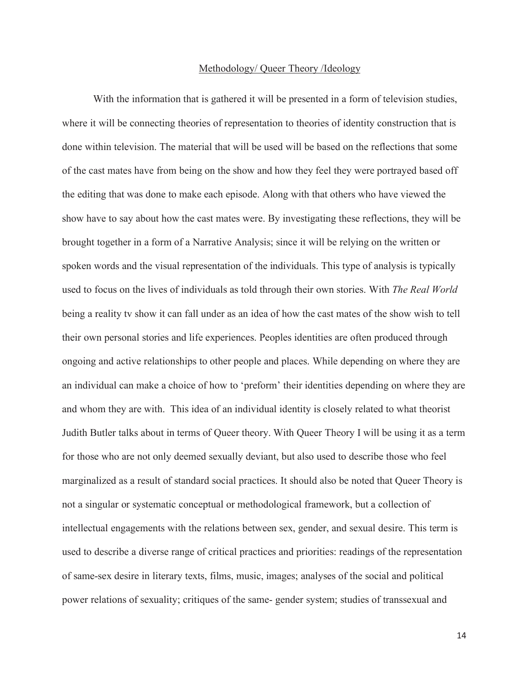#### Methodology/ Queer Theory /Ideology

With the information that is gathered it will be presented in a form of television studies, where it will be connecting theories of representation to theories of identity construction that is done within television. The material that will be used will be based on the reflections that some of the cast mates have from being on the show and how they feel they were portrayed based off the editing that was done to make each episode. Along with that others who have viewed the show have to say about how the cast mates were. By investigating these reflections, they will be brought together in a form of a Narrative Analysis; since it will be relying on the written or spoken words and the visual representation of the individuals. This type of analysis is typically used to focus on the lives of individuals as told through their own stories. With *The Real World* being a reality tv show it can fall under as an idea of how the cast mates of the show wish to tell their own personal stories and life experiences. Peoples identities are often produced through ongoing and active relationships to other people and places. While depending on where they are an individual can make a choice of how to 'preform' their identities depending on where they are and whom they are with. This idea of an individual identity is closely related to what theorist Judith Butler talks about in terms of Queer theory. With Queer Theory I will be using it as a term for those who are not only deemed sexually deviant, but also used to describe those who feel marginalized as a result of standard social practices. It should also be noted that Queer Theory is not a singular or systematic conceptual or methodological framework, but a collection of intellectual engagements with the relations between sex, gender, and sexual desire. This term is used to describe a diverse range of critical practices and priorities: readings of the representation of same-sex desire in literary texts, films, music, images; analyses of the social and political power relations of sexuality; critiques of the same- gender system; studies of transsexual and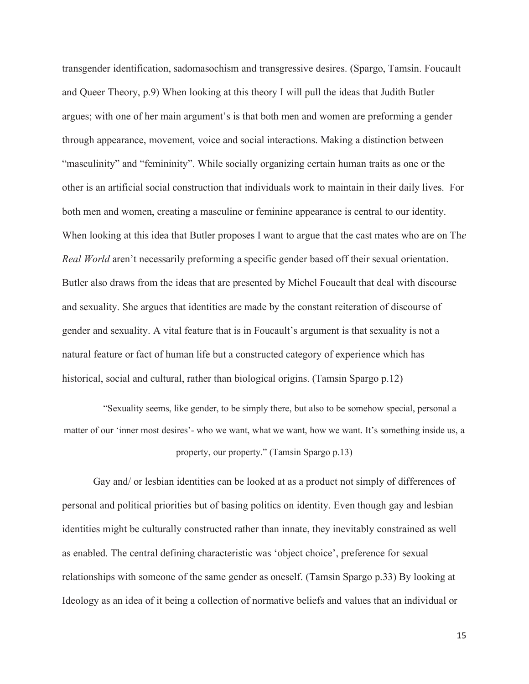transgender identification, sadomasochism and transgressive desires. (Spargo, Tamsin. Foucault and Queer Theory, p.9) When looking at this theory I will pull the ideas that Judith Butler argues; with one of her main argument's is that both men and women are preforming a gender through appearance, movement, voice and social interactions. Making a distinction between "masculinity" and "femininity". While socially organizing certain human traits as one or the other is an artificial social construction that individuals work to maintain in their daily lives. For both men and women, creating a masculine or feminine appearance is central to our identity. When looking at this idea that Butler proposes I want to argue that the cast mates who are on Th*e Real World* aren't necessarily preforming a specific gender based off their sexual orientation. Butler also draws from the ideas that are presented by Michel Foucault that deal with discourse and sexuality. She argues that identities are made by the constant reiteration of discourse of gender and sexuality. A vital feature that is in Foucault's argument is that sexuality is not a natural feature or fact of human life but a constructed category of experience which has historical, social and cultural, rather than biological origins. (Tamsin Spargo p.12)

"Sexuality seems, like gender, to be simply there, but also to be somehow special, personal a matter of our 'inner most desires'- who we want, what we want, how we want. It's something inside us, a property, our property." (Tamsin Spargo p.13)

Gay and/ or lesbian identities can be looked at as a product not simply of differences of personal and political priorities but of basing politics on identity. Even though gay and lesbian identities might be culturally constructed rather than innate, they inevitably constrained as well as enabled. The central defining characteristic was 'object choice', preference for sexual relationships with someone of the same gender as oneself. (Tamsin Spargo p.33) By looking at Ideology as an idea of it being a collection of normative beliefs and values that an individual or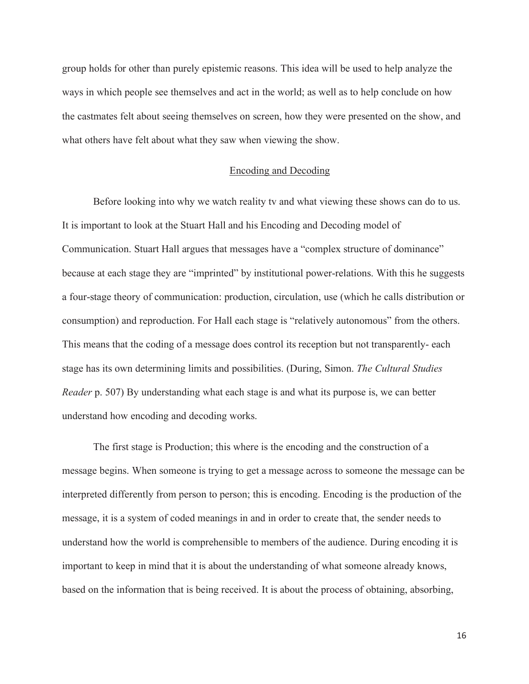group holds for other than purely epistemic reasons. This idea will be used to help analyze the ways in which people see themselves and act in the world; as well as to help conclude on how the castmates felt about seeing themselves on screen, how they were presented on the show, and what others have felt about what they saw when viewing the show.

### Encoding and Decoding

Before looking into why we watch reality tv and what viewing these shows can do to us. It is important to look at the Stuart Hall and his Encoding and Decoding model of Communication. Stuart Hall argues that messages have a "complex structure of dominance" because at each stage they are "imprinted" by institutional power-relations. With this he suggests a four-stage theory of communication: production, circulation, use (which he calls distribution or consumption) and reproduction. For Hall each stage is "relatively autonomous" from the others. This means that the coding of a message does control its reception but not transparently- each stage has its own determining limits and possibilities. (During, Simon. *The Cultural Studies Reader* p. 507) By understanding what each stage is and what its purpose is, we can better understand how encoding and decoding works.

The first stage is Production; this where is the encoding and the construction of a message begins. When someone is trying to get a message across to someone the message can be interpreted differently from person to person; this is encoding. Encoding is the production of the message, it is a system of coded meanings in and in order to create that, the sender needs to understand how the world is comprehensible to members of the audience. During encoding it is important to keep in mind that it is about the understanding of what someone already knows, based on the information that is being received. It is about the process of obtaining, absorbing,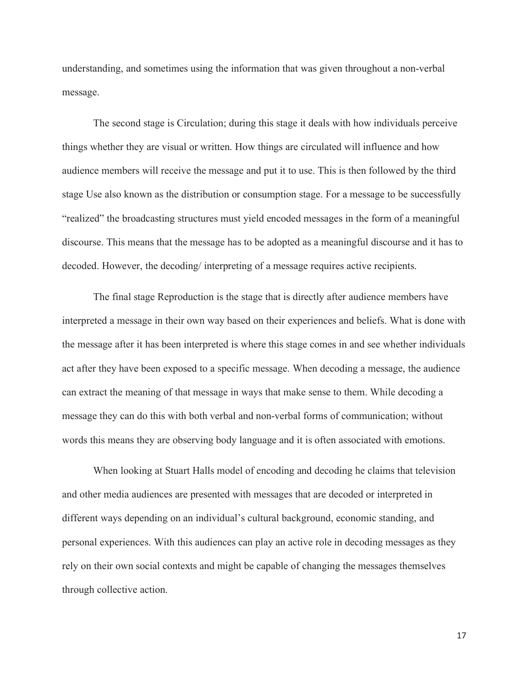understanding, and sometimes using the information that was given throughout a non-verbal message.

The second stage is Circulation; during this stage it deals with how individuals perceive things whether they are visual or written. How things are circulated will influence and how audience members will receive the message and put it to use. This is then followed by the third stage Use also known as the distribution or consumption stage. For a message to be successfully "realized" the broadcasting structures must yield encoded messages in the form of a meaningful discourse. This means that the message has to be adopted as a meaningful discourse and it has to decoded. However, the decoding/ interpreting of a message requires active recipients.

The final stage Reproduction is the stage that is directly after audience members have interpreted a message in their own way based on their experiences and beliefs. What is done with the message after it has been interpreted is where this stage comes in and see whether individuals act after they have been exposed to a specific message. When decoding a message, the audience can extract the meaning of that message in ways that make sense to them. While decoding a message they can do this with both verbal and non-verbal forms of communication; without words this means they are observing body language and it is often associated with emotions.

When looking at Stuart Halls model of encoding and decoding he claims that television and other media audiences are presented with messages that are decoded or interpreted in different ways depending on an individual's cultural background, economic standing, and personal experiences. With this audiences can play an active role in decoding messages as they rely on their own social contexts and might be capable of changing the messages themselves through collective action.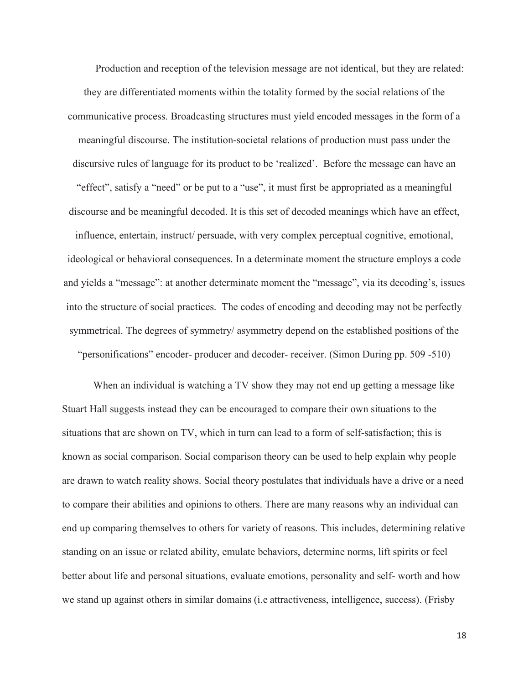Production and reception of the television message are not identical, but they are related: they are differentiated moments within the totality formed by the social relations of the communicative process. Broadcasting structures must yield encoded messages in the form of a meaningful discourse. The institution-societal relations of production must pass under the discursive rules of language for its product to be 'realized'. Before the message can have an "effect", satisfy a "need" or be put to a "use", it must first be appropriated as a meaningful discourse and be meaningful decoded. It is this set of decoded meanings which have an effect, influence, entertain, instruct/ persuade, with very complex perceptual cognitive, emotional, ideological or behavioral consequences. In a determinate moment the structure employs a code and yields a "message": at another determinate moment the "message", via its decoding's, issues into the structure of social practices. The codes of encoding and decoding may not be perfectly symmetrical. The degrees of symmetry/ asymmetry depend on the established positions of the "personifications" encoder- producer and decoder- receiver. (Simon During pp. 509 -510)

When an individual is watching a TV show they may not end up getting a message like Stuart Hall suggests instead they can be encouraged to compare their own situations to the situations that are shown on TV, which in turn can lead to a form of self-satisfaction; this is known as social comparison. Social comparison theory can be used to help explain why people are drawn to watch reality shows. Social theory postulates that individuals have a drive or a need to compare their abilities and opinions to others. There are many reasons why an individual can end up comparing themselves to others for variety of reasons. This includes, determining relative standing on an issue or related ability, emulate behaviors, determine norms, lift spirits or feel better about life and personal situations, evaluate emotions, personality and self- worth and how we stand up against others in similar domains (i.e attractiveness, intelligence, success). (Frisby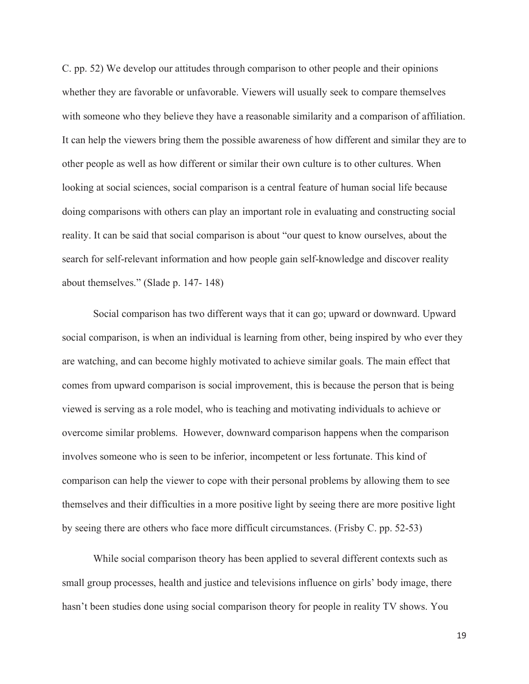C. pp. 52) We develop our attitudes through comparison to other people and their opinions whether they are favorable or unfavorable. Viewers will usually seek to compare themselves with someone who they believe they have a reasonable similarity and a comparison of affiliation. It can help the viewers bring them the possible awareness of how different and similar they are to other people as well as how different or similar their own culture is to other cultures. When looking at social sciences, social comparison is a central feature of human social life because doing comparisons with others can play an important role in evaluating and constructing social reality. It can be said that social comparison is about "our quest to know ourselves, about the search for self-relevant information and how people gain self-knowledge and discover reality about themselves." (Slade p. 147- 148)

Social comparison has two different ways that it can go; upward or downward. Upward social comparison, is when an individual is learning from other, being inspired by who ever they are watching, and can become highly motivated to achieve similar goals. The main effect that comes from upward comparison is social improvement, this is because the person that is being viewed is serving as a role model, who is teaching and motivating individuals to achieve or overcome similar problems. However, downward comparison happens when the comparison involves someone who is seen to be inferior, incompetent or less fortunate. This kind of comparison can help the viewer to cope with their personal problems by allowing them to see themselves and their difficulties in a more positive light by seeing there are more positive light by seeing there are others who face more difficult circumstances. (Frisby C. pp. 52-53)

While social comparison theory has been applied to several different contexts such as small group processes, health and justice and televisions influence on girls' body image, there hasn't been studies done using social comparison theory for people in reality TV shows. You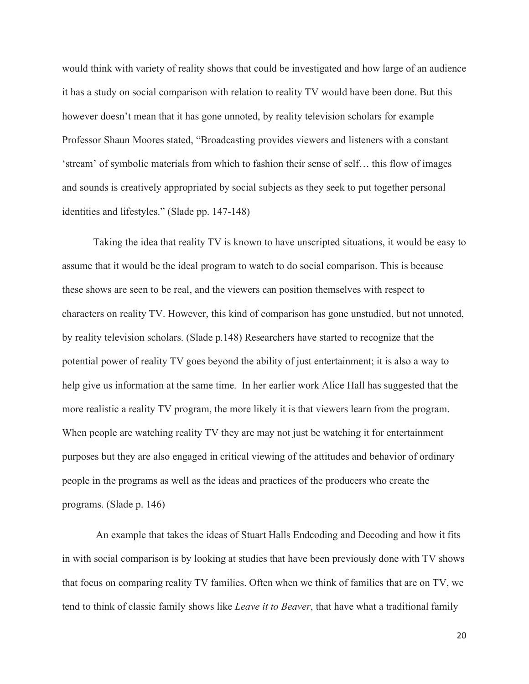would think with variety of reality shows that could be investigated and how large of an audience it has a study on social comparison with relation to reality TV would have been done. But this however doesn't mean that it has gone unnoted, by reality television scholars for example Professor Shaun Moores stated, "Broadcasting provides viewers and listeners with a constant 'stream' of symbolic materials from which to fashion their sense of self… this flow of images and sounds is creatively appropriated by social subjects as they seek to put together personal identities and lifestyles." (Slade pp. 147-148)

Taking the idea that reality TV is known to have unscripted situations, it would be easy to assume that it would be the ideal program to watch to do social comparison. This is because these shows are seen to be real, and the viewers can position themselves with respect to characters on reality TV. However, this kind of comparison has gone unstudied, but not unnoted, by reality television scholars. (Slade p.148) Researchers have started to recognize that the potential power of reality TV goes beyond the ability of just entertainment; it is also a way to help give us information at the same time. In her earlier work Alice Hall has suggested that the more realistic a reality TV program, the more likely it is that viewers learn from the program. When people are watching reality TV they are may not just be watching it for entertainment purposes but they are also engaged in critical viewing of the attitudes and behavior of ordinary people in the programs as well as the ideas and practices of the producers who create the programs. (Slade p. 146)

 An example that takes the ideas of Stuart Halls Endcoding and Decoding and how it fits in with social comparison is by looking at studies that have been previously done with TV shows that focus on comparing reality TV families. Often when we think of families that are on TV, we tend to think of classic family shows like *Leave it to Beaver*, that have what a traditional family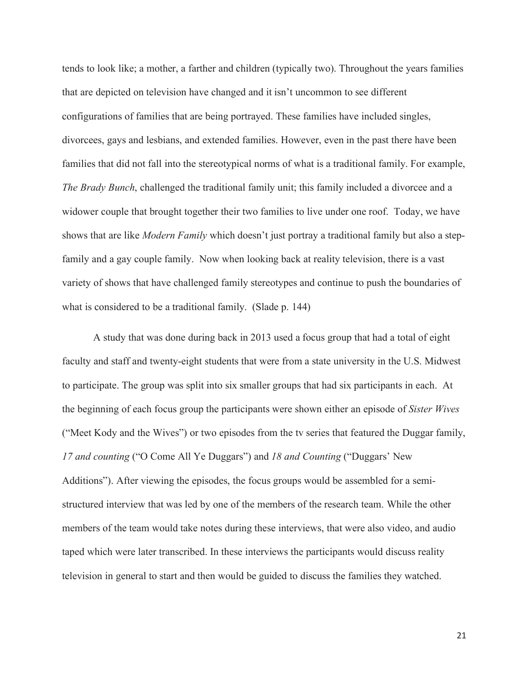tends to look like; a mother, a farther and children (typically two). Throughout the years families that are depicted on television have changed and it isn't uncommon to see different configurations of families that are being portrayed. These families have included singles, divorcees, gays and lesbians, and extended families. However, even in the past there have been families that did not fall into the stereotypical norms of what is a traditional family. For example, *The Brady Bunch*, challenged the traditional family unit; this family included a divorcee and a widower couple that brought together their two families to live under one roof. Today, we have shows that are like *Modern Family* which doesn't just portray a traditional family but also a stepfamily and a gay couple family. Now when looking back at reality television, there is a vast variety of shows that have challenged family stereotypes and continue to push the boundaries of what is considered to be a traditional family. (Slade p. 144)

A study that was done during back in 2013 used a focus group that had a total of eight faculty and staff and twenty-eight students that were from a state university in the U.S. Midwest to participate. The group was split into six smaller groups that had six participants in each. At the beginning of each focus group the participants were shown either an episode of *Sister Wives*  ("Meet Kody and the Wives") or two episodes from the tv series that featured the Duggar family, *17 and counting* ("O Come All Ye Duggars") and *18 and Counting* ("Duggars' New Additions"). After viewing the episodes, the focus groups would be assembled for a semistructured interview that was led by one of the members of the research team. While the other members of the team would take notes during these interviews, that were also video, and audio taped which were later transcribed. In these interviews the participants would discuss reality television in general to start and then would be guided to discuss the families they watched.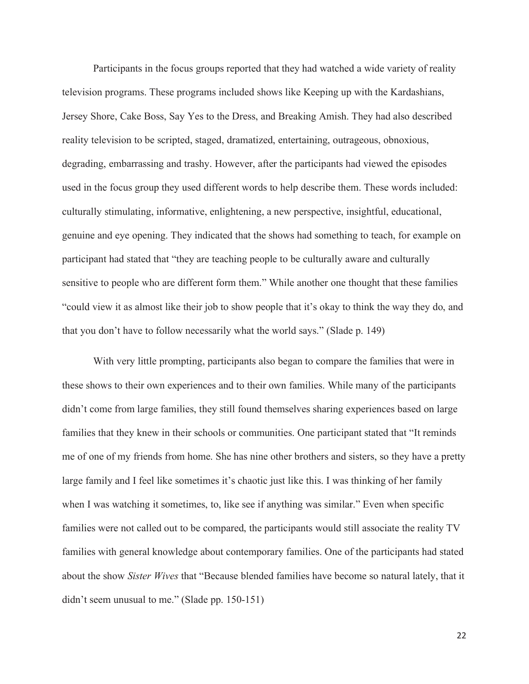Participants in the focus groups reported that they had watched a wide variety of reality television programs. These programs included shows like Keeping up with the Kardashians, Jersey Shore, Cake Boss, Say Yes to the Dress, and Breaking Amish. They had also described reality television to be scripted, staged, dramatized, entertaining, outrageous, obnoxious, degrading, embarrassing and trashy. However, after the participants had viewed the episodes used in the focus group they used different words to help describe them. These words included: culturally stimulating, informative, enlightening, a new perspective, insightful, educational, genuine and eye opening. They indicated that the shows had something to teach, for example on participant had stated that "they are teaching people to be culturally aware and culturally sensitive to people who are different form them." While another one thought that these families "could view it as almost like their job to show people that it's okay to think the way they do, and that you don't have to follow necessarily what the world says." (Slade p. 149)

With very little prompting, participants also began to compare the families that were in these shows to their own experiences and to their own families. While many of the participants didn't come from large families, they still found themselves sharing experiences based on large families that they knew in their schools or communities. One participant stated that "It reminds me of one of my friends from home. She has nine other brothers and sisters, so they have a pretty large family and I feel like sometimes it's chaotic just like this. I was thinking of her family when I was watching it sometimes, to, like see if anything was similar." Even when specific families were not called out to be compared, the participants would still associate the reality TV families with general knowledge about contemporary families. One of the participants had stated about the show *Sister Wives* that "Because blended families have become so natural lately, that it didn't seem unusual to me." (Slade pp. 150-151)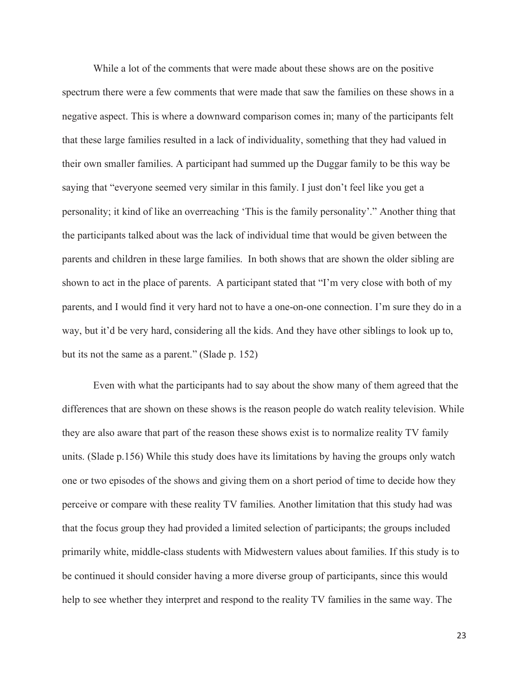While a lot of the comments that were made about these shows are on the positive spectrum there were a few comments that were made that saw the families on these shows in a negative aspect. This is where a downward comparison comes in; many of the participants felt that these large families resulted in a lack of individuality, something that they had valued in their own smaller families. A participant had summed up the Duggar family to be this way be saying that "everyone seemed very similar in this family. I just don't feel like you get a personality; it kind of like an overreaching 'This is the family personality'." Another thing that the participants talked about was the lack of individual time that would be given between the parents and children in these large families. In both shows that are shown the older sibling are shown to act in the place of parents. A participant stated that "I'm very close with both of my parents, and I would find it very hard not to have a one-on-one connection. I'm sure they do in a way, but it'd be very hard, considering all the kids. And they have other siblings to look up to, but its not the same as a parent." (Slade p. 152)

Even with what the participants had to say about the show many of them agreed that the differences that are shown on these shows is the reason people do watch reality television. While they are also aware that part of the reason these shows exist is to normalize reality TV family units. (Slade p.156) While this study does have its limitations by having the groups only watch one or two episodes of the shows and giving them on a short period of time to decide how they perceive or compare with these reality TV families. Another limitation that this study had was that the focus group they had provided a limited selection of participants; the groups included primarily white, middle-class students with Midwestern values about families. If this study is to be continued it should consider having a more diverse group of participants, since this would help to see whether they interpret and respond to the reality TV families in the same way. The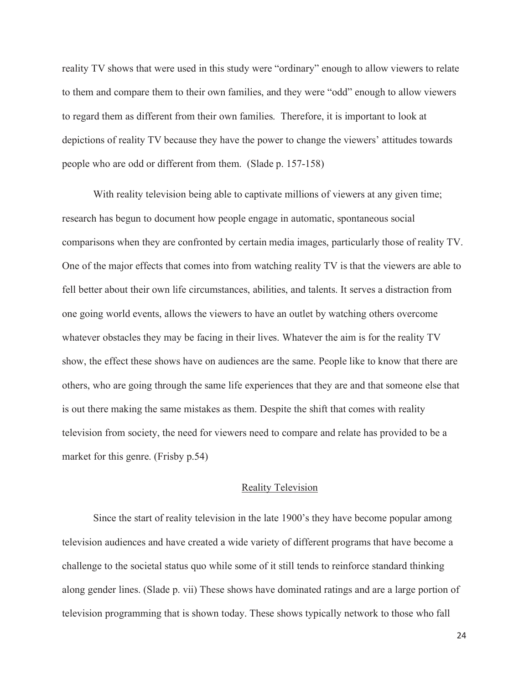reality TV shows that were used in this study were "ordinary" enough to allow viewers to relate to them and compare them to their own families, and they were "odd" enough to allow viewers to regard them as different from their own families. Therefore, it is important to look at depictions of reality TV because they have the power to change the viewers' attitudes towards people who are odd or different from them. (Slade p. 157-158)

With reality television being able to captivate millions of viewers at any given time; research has begun to document how people engage in automatic, spontaneous social comparisons when they are confronted by certain media images, particularly those of reality TV. One of the major effects that comes into from watching reality TV is that the viewers are able to fell better about their own life circumstances, abilities, and talents. It serves a distraction from one going world events, allows the viewers to have an outlet by watching others overcome whatever obstacles they may be facing in their lives. Whatever the aim is for the reality TV show, the effect these shows have on audiences are the same. People like to know that there are others, who are going through the same life experiences that they are and that someone else that is out there making the same mistakes as them. Despite the shift that comes with reality television from society, the need for viewers need to compare and relate has provided to be a market for this genre. (Frisby p.54)

#### Reality Television

Since the start of reality television in the late 1900's they have become popular among television audiences and have created a wide variety of different programs that have become a challenge to the societal status quo while some of it still tends to reinforce standard thinking along gender lines. (Slade p. vii) These shows have dominated ratings and are a large portion of television programming that is shown today. These shows typically network to those who fall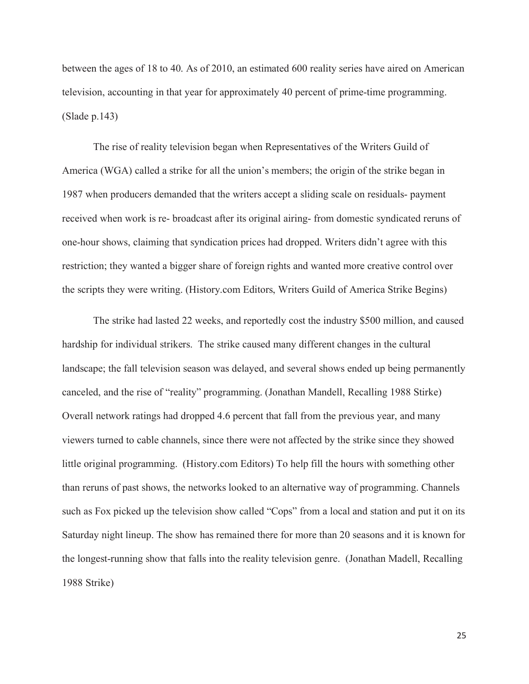between the ages of 18 to 40. As of 2010, an estimated 600 reality series have aired on American television, accounting in that year for approximately 40 percent of prime-time programming. (Slade p.143)

The rise of reality television began when Representatives of the Writers Guild of America (WGA) called a strike for all the union's members; the origin of the strike began in 1987 when producers demanded that the writers accept a sliding scale on residuals- payment received when work is re- broadcast after its original airing- from domestic syndicated reruns of one-hour shows, claiming that syndication prices had dropped. Writers didn't agree with this restriction; they wanted a bigger share of foreign rights and wanted more creative control over the scripts they were writing. (History.com Editors, Writers Guild of America Strike Begins)

The strike had lasted 22 weeks, and reportedly cost the industry \$500 million, and caused hardship for individual strikers. The strike caused many different changes in the cultural landscape; the fall television season was delayed, and several shows ended up being permanently canceled, and the rise of "reality" programming. (Jonathan Mandell, Recalling 1988 Stirke) Overall network ratings had dropped 4.6 percent that fall from the previous year, and many viewers turned to cable channels, since there were not affected by the strike since they showed little original programming. (History.com Editors) To help fill the hours with something other than reruns of past shows, the networks looked to an alternative way of programming. Channels such as Fox picked up the television show called "Cops" from a local and station and put it on its Saturday night lineup. The show has remained there for more than 20 seasons and it is known for the longest-running show that falls into the reality television genre. (Jonathan Madell, Recalling 1988 Strike)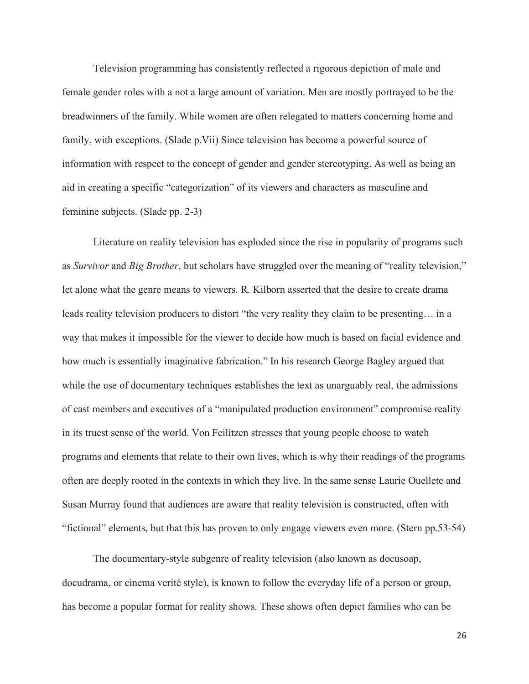Television programming has consistently reflected a rigorous depiction of male and female gender roles with a not a large amount of variation. Men are mostly portrayed to be the breadwinners of the family. While women are often relegated to matters concerning home and family, with exceptions. (Slade p.Vii) Since television has become a powerful source of information with respect to the concept of gender and gender stereotyping. As well as being an aid in creating a specific "categorization" of its viewers and characters as masculine and feminine subjects. (Slade pp. 2-3)

Literature on reality television has exploded since the rise in popularity of programs such as *Survivor* and *Big Brother*, but scholars have struggled over the meaning of "reality television," let alone what the genre means to viewers. R. Kilborn asserted that the desire to create drama leads reality television producers to distort "the very reality they claim to be presenting… in a way that makes it impossible for the viewer to decide how much is based on facial evidence and how much is essentially imaginative fabrication." In his research George Bagley argued that while the use of documentary techniques establishes the text as unarguably real, the admissions of cast members and executives of a "manipulated production environment" compromise reality in its truest sense of the world. Von Feilitzen stresses that young people choose to watch programs and elements that relate to their own lives, which is why their readings of the programs often are deeply rooted in the contexts in which they live. In the same sense Laurie Ouellete and Susan Murray found that audiences are aware that reality television is constructed, often with "fictional" elements, but that this has proven to only engage viewers even more. (Stern pp.53-54)

The documentary-style subgenre of reality television (also known as docusoap, docudrama, or cinema verité style), is known to follow the everyday life of a person or group, has become a popular format for reality shows. These shows often depict families who can be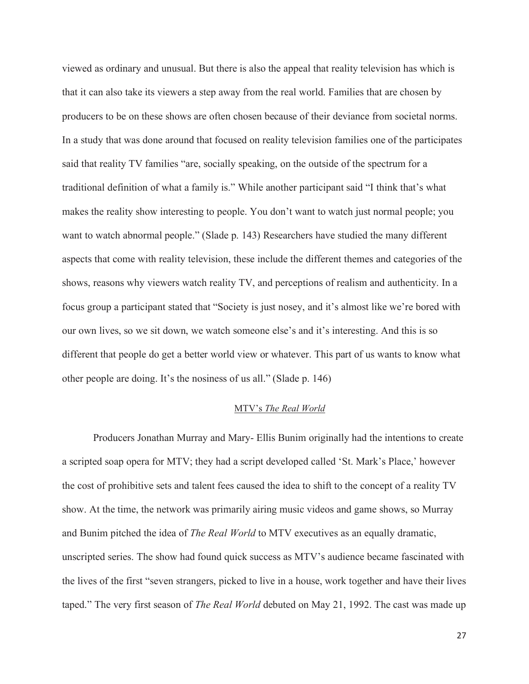viewed as ordinary and unusual. But there is also the appeal that reality television has which is that it can also take its viewers a step away from the real world. Families that are chosen by producers to be on these shows are often chosen because of their deviance from societal norms. In a study that was done around that focused on reality television families one of the participates said that reality TV families "are, socially speaking, on the outside of the spectrum for a traditional definition of what a family is." While another participant said "I think that's what makes the reality show interesting to people. You don't want to watch just normal people; you want to watch abnormal people." (Slade p. 143) Researchers have studied the many different aspects that come with reality television, these include the different themes and categories of the shows, reasons why viewers watch reality TV, and perceptions of realism and authenticity. In a focus group a participant stated that "Society is just nosey, and it's almost like we're bored with our own lives, so we sit down, we watch someone else's and it's interesting. And this is so different that people do get a better world view or whatever. This part of us wants to know what other people are doing. It's the nosiness of us all." (Slade p. 146)

#### MTV's *The Real World*

Producers Jonathan Murray and Mary- Ellis Bunim originally had the intentions to create a scripted soap opera for MTV; they had a script developed called 'St. Mark's Place,' however the cost of prohibitive sets and talent fees caused the idea to shift to the concept of a reality TV show. At the time, the network was primarily airing music videos and game shows, so Murray and Bunim pitched the idea of *The Real World* to MTV executives as an equally dramatic, unscripted series. The show had found quick success as MTV's audience became fascinated with the lives of the first "seven strangers, picked to live in a house, work together and have their lives taped." The very first season of *The Real World* debuted on May 21, 1992. The cast was made up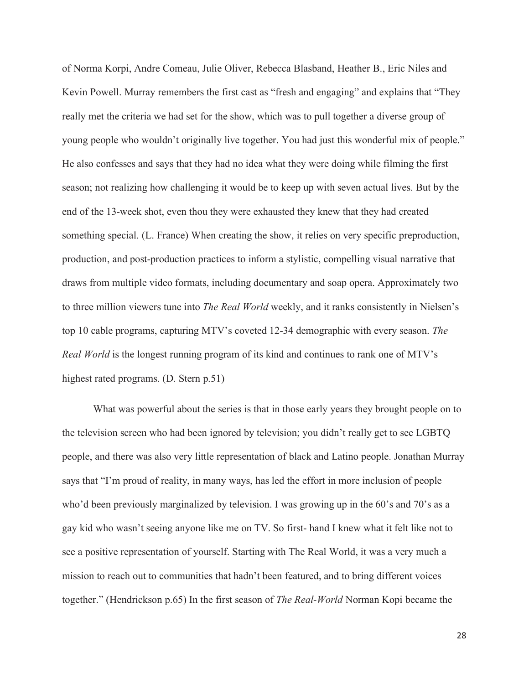of Norma Korpi, Andre Comeau, Julie Oliver, Rebecca Blasband, Heather B., Eric Niles and Kevin Powell. Murray remembers the first cast as "fresh and engaging" and explains that "They really met the criteria we had set for the show, which was to pull together a diverse group of young people who wouldn't originally live together. You had just this wonderful mix of people." He also confesses and says that they had no idea what they were doing while filming the first season; not realizing how challenging it would be to keep up with seven actual lives. But by the end of the 13-week shot, even thou they were exhausted they knew that they had created something special. (L. France) When creating the show, it relies on very specific preproduction, production, and post-production practices to inform a stylistic, compelling visual narrative that draws from multiple video formats, including documentary and soap opera. Approximately two to three million viewers tune into *The Real World* weekly, and it ranks consistently in Nielsen's top 10 cable programs, capturing MTV's coveted 12-34 demographic with every season. *The Real World* is the longest running program of its kind and continues to rank one of MTV's highest rated programs. (D. Stern p.51)

What was powerful about the series is that in those early years they brought people on to the television screen who had been ignored by television; you didn't really get to see LGBTQ people, and there was also very little representation of black and Latino people. Jonathan Murray says that "I'm proud of reality, in many ways, has led the effort in more inclusion of people who'd been previously marginalized by television. I was growing up in the 60's and 70's as a gay kid who wasn't seeing anyone like me on TV. So first- hand I knew what it felt like not to see a positive representation of yourself. Starting with The Real World, it was a very much a mission to reach out to communities that hadn't been featured, and to bring different voices together." (Hendrickson p.65) In the first season of *The Real-World* Norman Kopi became the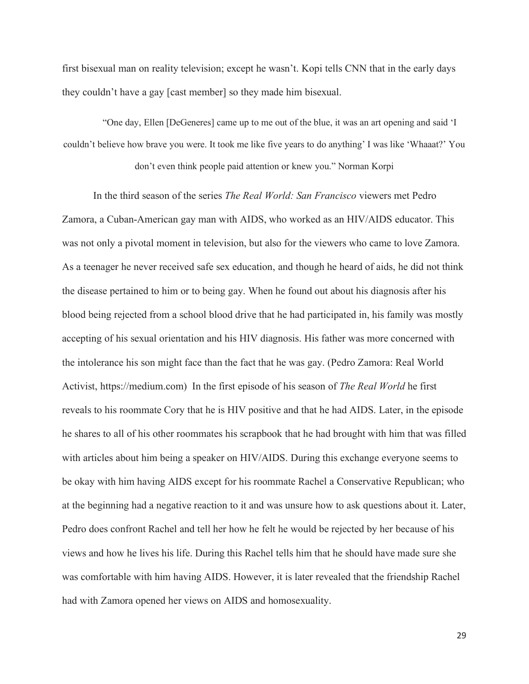first bisexual man on reality television; except he wasn't. Kopi tells CNN that in the early days they couldn't have a gay [cast member] so they made him bisexual.

"One day, Ellen [DeGeneres] came up to me out of the blue, it was an art opening and said 'I couldn't believe how brave you were. It took me like five years to do anything' I was like 'Whaaat?' You don't even think people paid attention or knew you." Norman Korpi

In the third season of the series *The Real World: San Francisco* viewers met Pedro Zamora, a Cuban-American gay man with AIDS, who worked as an HIV/AIDS educator. This was not only a pivotal moment in television, but also for the viewers who came to love Zamora. As a teenager he never received safe sex education, and though he heard of aids, he did not think the disease pertained to him or to being gay. When he found out about his diagnosis after his blood being rejected from a school blood drive that he had participated in, his family was mostly accepting of his sexual orientation and his HIV diagnosis. His father was more concerned with the intolerance his son might face than the fact that he was gay. (Pedro Zamora: Real World Activist, https://medium.com) In the first episode of his season of *The Real World* he first reveals to his roommate Cory that he is HIV positive and that he had AIDS. Later, in the episode he shares to all of his other roommates his scrapbook that he had brought with him that was filled with articles about him being a speaker on HIV/AIDS. During this exchange everyone seems to be okay with him having AIDS except for his roommate Rachel a Conservative Republican; who at the beginning had a negative reaction to it and was unsure how to ask questions about it. Later, Pedro does confront Rachel and tell her how he felt he would be rejected by her because of his views and how he lives his life. During this Rachel tells him that he should have made sure she was comfortable with him having AIDS. However, it is later revealed that the friendship Rachel had with Zamora opened her views on AIDS and homosexuality.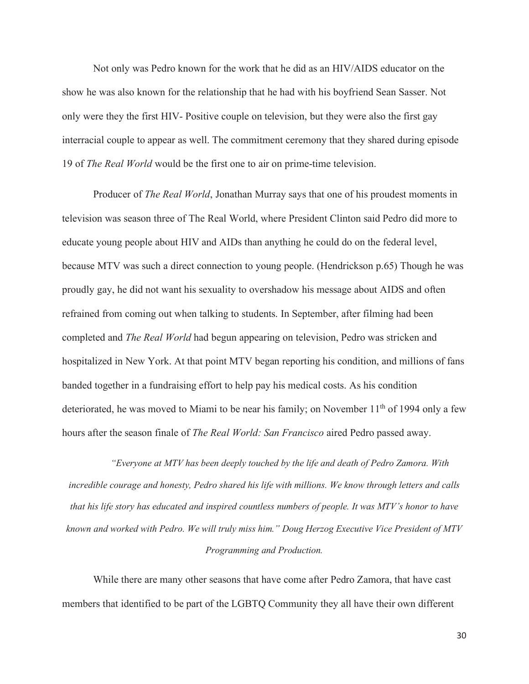Not only was Pedro known for the work that he did as an HIV/AIDS educator on the show he was also known for the relationship that he had with his boyfriend Sean Sasser. Not only were they the first HIV- Positive couple on television, but they were also the first gay interracial couple to appear as well. The commitment ceremony that they shared during episode 19 of *The Real World* would be the first one to air on prime-time television.

Producer of *The Real World*, Jonathan Murray says that one of his proudest moments in television was season three of The Real World, where President Clinton said Pedro did more to educate young people about HIV and AIDs than anything he could do on the federal level, because MTV was such a direct connection to young people. (Hendrickson p.65) Though he was proudly gay, he did not want his sexuality to overshadow his message about AIDS and often refrained from coming out when talking to students. In September, after filming had been completed and *The Real World* had begun appearing on television, Pedro was stricken and hospitalized in New York. At that point MTV began reporting his condition, and millions of fans banded together in a fundraising effort to help pay his medical costs. As his condition deteriorated, he was moved to Miami to be near his family; on November  $11<sup>th</sup>$  of 1994 only a few hours after the season finale of *The Real World: San Francisco* aired Pedro passed away.

*"Everyone at MTV has been deeply touched by the life and death of Pedro Zamora. With incredible courage and honesty, Pedro shared his life with millions. We know through letters and calls that his life story has educated and inspired countless numbers of people. It was MTV's honor to have known and worked with Pedro. We will truly miss him." Doug Herzog Executive Vice President of MTV Programming and Production.* 

While there are many other seasons that have come after Pedro Zamora, that have cast members that identified to be part of the LGBTQ Community they all have their own different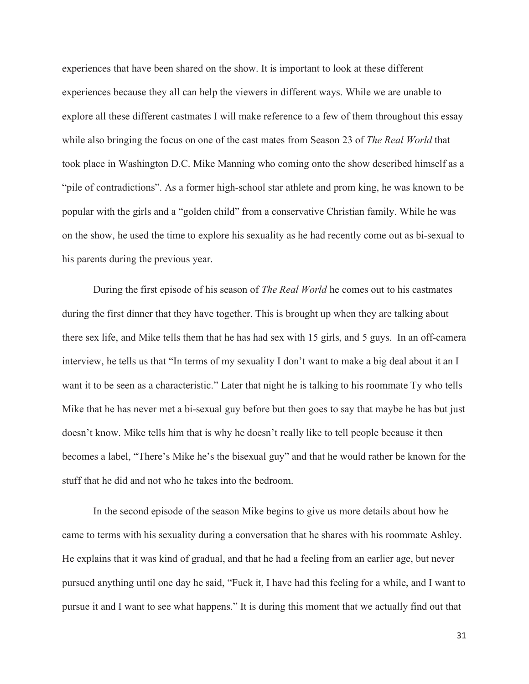experiences that have been shared on the show. It is important to look at these different experiences because they all can help the viewers in different ways. While we are unable to explore all these different castmates I will make reference to a few of them throughout this essay while also bringing the focus on one of the cast mates from Season 23 of *The Real World* that took place in Washington D.C. Mike Manning who coming onto the show described himself as a "pile of contradictions". As a former high-school star athlete and prom king, he was known to be popular with the girls and a "golden child" from a conservative Christian family. While he was on the show, he used the time to explore his sexuality as he had recently come out as bi-sexual to his parents during the previous year.

During the first episode of his season of *The Real World* he comes out to his castmates during the first dinner that they have together. This is brought up when they are talking about there sex life, and Mike tells them that he has had sex with 15 girls, and 5 guys. In an off-camera interview, he tells us that "In terms of my sexuality I don't want to make a big deal about it an I want it to be seen as a characteristic." Later that night he is talking to his roommate Ty who tells Mike that he has never met a bi-sexual guy before but then goes to say that maybe he has but just doesn't know. Mike tells him that is why he doesn't really like to tell people because it then becomes a label, "There's Mike he's the bisexual guy" and that he would rather be known for the stuff that he did and not who he takes into the bedroom.

In the second episode of the season Mike begins to give us more details about how he came to terms with his sexuality during a conversation that he shares with his roommate Ashley. He explains that it was kind of gradual, and that he had a feeling from an earlier age, but never pursued anything until one day he said, "Fuck it, I have had this feeling for a while, and I want to pursue it and I want to see what happens." It is during this moment that we actually find out that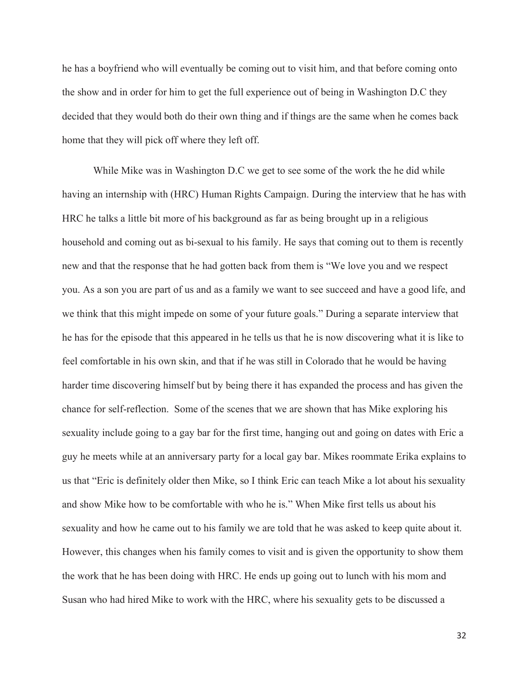he has a boyfriend who will eventually be coming out to visit him, and that before coming onto the show and in order for him to get the full experience out of being in Washington D.C they decided that they would both do their own thing and if things are the same when he comes back home that they will pick off where they left off.

While Mike was in Washington D.C we get to see some of the work the he did while having an internship with (HRC) Human Rights Campaign. During the interview that he has with HRC he talks a little bit more of his background as far as being brought up in a religious household and coming out as bi-sexual to his family. He says that coming out to them is recently new and that the response that he had gotten back from them is "We love you and we respect you. As a son you are part of us and as a family we want to see succeed and have a good life, and we think that this might impede on some of your future goals." During a separate interview that he has for the episode that this appeared in he tells us that he is now discovering what it is like to feel comfortable in his own skin, and that if he was still in Colorado that he would be having harder time discovering himself but by being there it has expanded the process and has given the chance for self-reflection. Some of the scenes that we are shown that has Mike exploring his sexuality include going to a gay bar for the first time, hanging out and going on dates with Eric a guy he meets while at an anniversary party for a local gay bar. Mikes roommate Erika explains to us that "Eric is definitely older then Mike, so I think Eric can teach Mike a lot about his sexuality and show Mike how to be comfortable with who he is." When Mike first tells us about his sexuality and how he came out to his family we are told that he was asked to keep quite about it. However, this changes when his family comes to visit and is given the opportunity to show them the work that he has been doing with HRC. He ends up going out to lunch with his mom and Susan who had hired Mike to work with the HRC, where his sexuality gets to be discussed a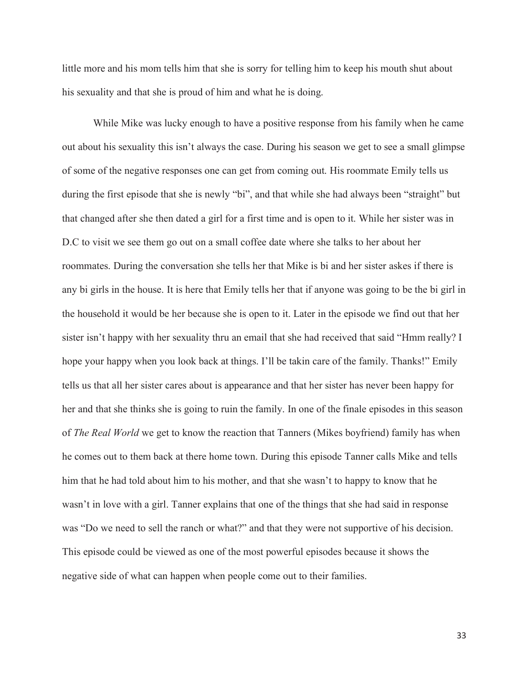little more and his mom tells him that she is sorry for telling him to keep his mouth shut about his sexuality and that she is proud of him and what he is doing.

 While Mike was lucky enough to have a positive response from his family when he came out about his sexuality this isn't always the case. During his season we get to see a small glimpse of some of the negative responses one can get from coming out. His roommate Emily tells us during the first episode that she is newly "bi", and that while she had always been "straight" but that changed after she then dated a girl for a first time and is open to it. While her sister was in D.C to visit we see them go out on a small coffee date where she talks to her about her roommates. During the conversation she tells her that Mike is bi and her sister askes if there is any bi girls in the house. It is here that Emily tells her that if anyone was going to be the bi girl in the household it would be her because she is open to it. Later in the episode we find out that her sister isn't happy with her sexuality thru an email that she had received that said "Hmm really? I hope your happy when you look back at things. I'll be takin care of the family. Thanks!" Emily tells us that all her sister cares about is appearance and that her sister has never been happy for her and that she thinks she is going to ruin the family. In one of the finale episodes in this season of *The Real World* we get to know the reaction that Tanners (Mikes boyfriend) family has when he comes out to them back at there home town. During this episode Tanner calls Mike and tells him that he had told about him to his mother, and that she wasn't to happy to know that he wasn't in love with a girl. Tanner explains that one of the things that she had said in response was "Do we need to sell the ranch or what?" and that they were not supportive of his decision. This episode could be viewed as one of the most powerful episodes because it shows the negative side of what can happen when people come out to their families.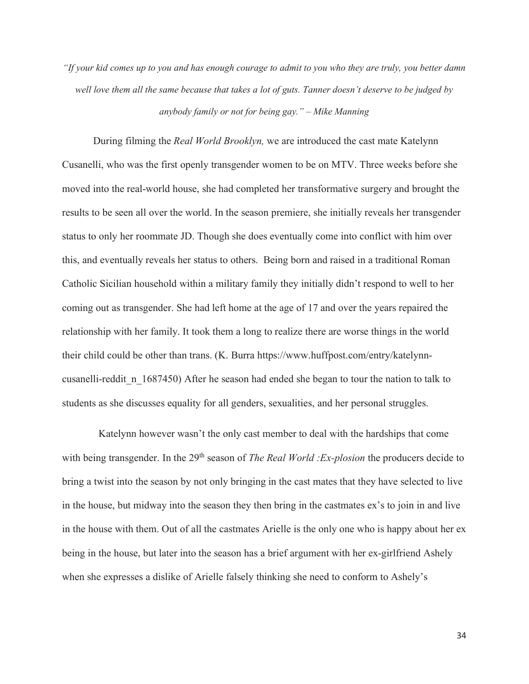*"If your kid comes up to you and has enough courage to admit to you who they are truly, you better damn well love them all the same because that takes a lot of guts. Tanner doesn't deserve to be judged by anybody family or not for being gay." – Mike Manning* 

During filming the *Real World Brooklyn,* we are introduced the cast mate Katelynn Cusanelli, who was the first openly transgender women to be on MTV. Three weeks before she moved into the real-world house, she had completed her transformative surgery and brought the results to be seen all over the world. In the season premiere, she initially reveals her transgender status to only her roommate JD. Though she does eventually come into conflict with him over this, and eventually reveals her status to others. Being born and raised in a traditional Roman Catholic Sicilian household within a military family they initially didn't respond to well to her coming out as transgender. She had left home at the age of 17 and over the years repaired the relationship with her family. It took them a long to realize there are worse things in the world their child could be other than trans. (K. Burra https://www.huffpost.com/entry/katelynncusanelli-reddit\_n\_1687450) After he season had ended she began to tour the nation to talk to students as she discusses equality for all genders, sexualities, and her personal struggles.

 Katelynn however wasn't the only cast member to deal with the hardships that come with being transgender. In the 29<sup>th</sup> season of *The Real World :Ex-plosion* the producers decide to bring a twist into the season by not only bringing in the cast mates that they have selected to live in the house, but midway into the season they then bring in the castmates ex's to join in and live in the house with them. Out of all the castmates Arielle is the only one who is happy about her ex being in the house, but later into the season has a brief argument with her ex-girlfriend Ashely when she expresses a dislike of Arielle falsely thinking she need to conform to Ashely's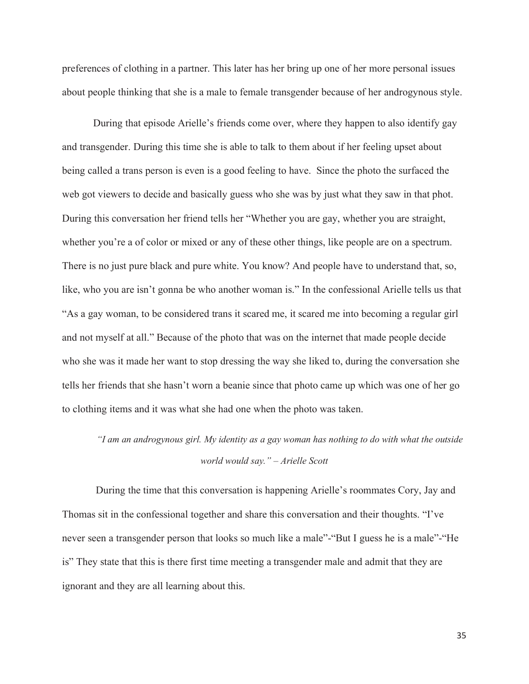preferences of clothing in a partner. This later has her bring up one of her more personal issues about people thinking that she is a male to female transgender because of her androgynous style.

During that episode Arielle's friends come over, where they happen to also identify gay and transgender. During this time she is able to talk to them about if her feeling upset about being called a trans person is even is a good feeling to have. Since the photo the surfaced the web got viewers to decide and basically guess who she was by just what they saw in that phot. During this conversation her friend tells her "Whether you are gay, whether you are straight, whether you're a of color or mixed or any of these other things, like people are on a spectrum. There is no just pure black and pure white. You know? And people have to understand that, so, like, who you are isn't gonna be who another woman is." In the confessional Arielle tells us that "As a gay woman, to be considered trans it scared me, it scared me into becoming a regular girl and not myself at all." Because of the photo that was on the internet that made people decide who she was it made her want to stop dressing the way she liked to, during the conversation she tells her friends that she hasn't worn a beanie since that photo came up which was one of her go to clothing items and it was what she had one when the photo was taken.

## *"I am an androgynous girl. My identity as a gay woman has nothing to do with what the outside world would say." – Arielle Scott*

 During the time that this conversation is happening Arielle's roommates Cory, Jay and Thomas sit in the confessional together and share this conversation and their thoughts. "I've never seen a transgender person that looks so much like a male"-"But I guess he is a male"-"He is" They state that this is there first time meeting a transgender male and admit that they are ignorant and they are all learning about this.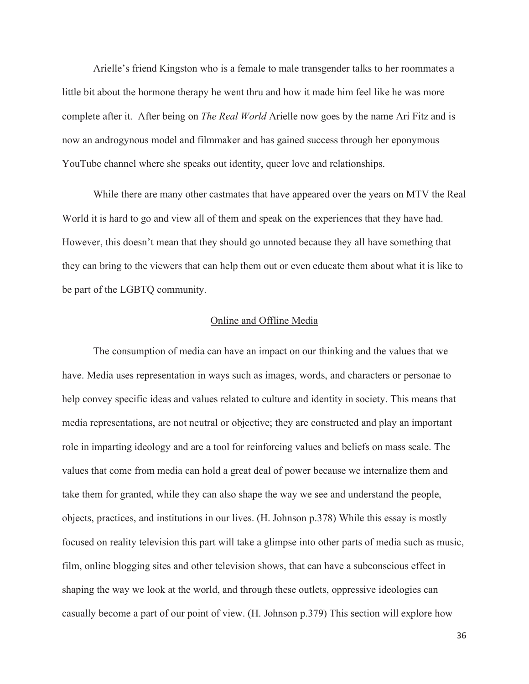Arielle's friend Kingston who is a female to male transgender talks to her roommates a little bit about the hormone therapy he went thru and how it made him feel like he was more complete after it. After being on *The Real World* Arielle now goes by the name Ari Fitz and is now an androgynous model and filmmaker and has gained success through her eponymous YouTube channel where she speaks out identity, queer love and relationships.

While there are many other castmates that have appeared over the years on MTV the Real World it is hard to go and view all of them and speak on the experiences that they have had. However, this doesn't mean that they should go unnoted because they all have something that they can bring to the viewers that can help them out or even educate them about what it is like to be part of the LGBTQ community.

#### Online and Offline Media

 The consumption of media can have an impact on our thinking and the values that we have. Media uses representation in ways such as images, words, and characters or personae to help convey specific ideas and values related to culture and identity in society. This means that media representations, are not neutral or objective; they are constructed and play an important role in imparting ideology and are a tool for reinforcing values and beliefs on mass scale. The values that come from media can hold a great deal of power because we internalize them and take them for granted, while they can also shape the way we see and understand the people, objects, practices, and institutions in our lives. (H. Johnson p.378) While this essay is mostly focused on reality television this part will take a glimpse into other parts of media such as music, film, online blogging sites and other television shows, that can have a subconscious effect in shaping the way we look at the world, and through these outlets, oppressive ideologies can casually become a part of our point of view. (H. Johnson p.379) This section will explore how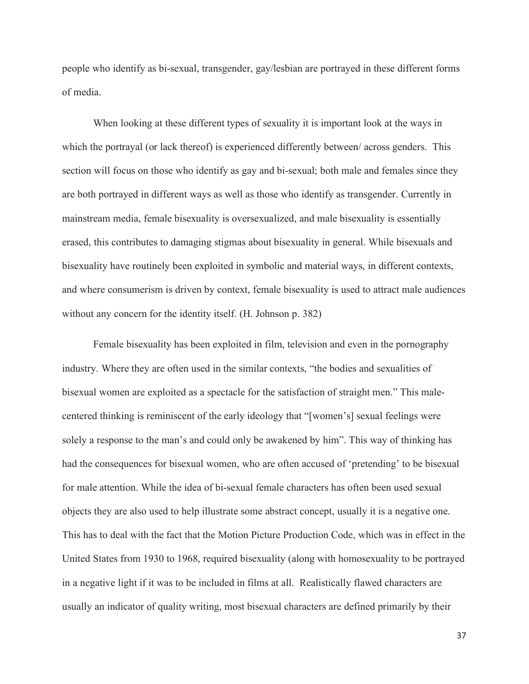people who identify as bi-sexual, transgender, gay/lesbian are portrayed in these different forms of media.

 When looking at these different types of sexuality it is important look at the ways in which the portrayal (or lack thereof) is experienced differently between/ across genders. This section will focus on those who identify as gay and bi-sexual; both male and females since they are both portrayed in different ways as well as those who identify as transgender. Currently in mainstream media, female bisexuality is oversexualized, and male bisexuality is essentially erased, this contributes to damaging stigmas about bisexuality in general. While bisexuals and bisexuality have routinely been exploited in symbolic and material ways, in different contexts, and where consumerism is driven by context, female bisexuality is used to attract male audiences without any concern for the identity itself. (H. Johnson p. 382)

 Female bisexuality has been exploited in film, television and even in the pornography industry. Where they are often used in the similar contexts, "the bodies and sexualities of bisexual women are exploited as a spectacle for the satisfaction of straight men." This malecentered thinking is reminiscent of the early ideology that "[women's] sexual feelings were solely a response to the man's and could only be awakened by him". This way of thinking has had the consequences for bisexual women, who are often accused of 'pretending' to be bisexual for male attention. While the idea of bi-sexual female characters has often been used sexual objects they are also used to help illustrate some abstract concept, usually it is a negative one. This has to deal with the fact that the Motion Picture Production Code, which was in effect in the United States from 1930 to 1968, required bisexuality (along with homosexuality to be portrayed in a negative light if it was to be included in films at all. Realistically flawed characters are usually an indicator of quality writing, most bisexual characters are defined primarily by their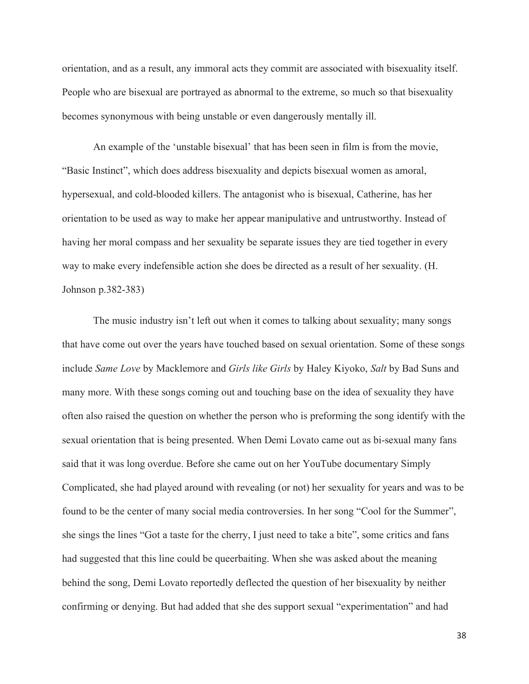orientation, and as a result, any immoral acts they commit are associated with bisexuality itself. People who are bisexual are portrayed as abnormal to the extreme, so much so that bisexuality becomes synonymous with being unstable or even dangerously mentally ill.

An example of the 'unstable bisexual' that has been seen in film is from the movie, "Basic Instinct", which does address bisexuality and depicts bisexual women as amoral, hypersexual, and cold-blooded killers. The antagonist who is bisexual, Catherine, has her orientation to be used as way to make her appear manipulative and untrustworthy. Instead of having her moral compass and her sexuality be separate issues they are tied together in every way to make every indefensible action she does be directed as a result of her sexuality. (H. Johnson p.382-383)

 The music industry isn't left out when it comes to talking about sexuality; many songs that have come out over the years have touched based on sexual orientation. Some of these songs include *Same Love* by Macklemore and *Girls like Girls* by Haley Kiyoko, *Salt* by Bad Suns and many more. With these songs coming out and touching base on the idea of sexuality they have often also raised the question on whether the person who is preforming the song identify with the sexual orientation that is being presented. When Demi Lovato came out as bi-sexual many fans said that it was long overdue. Before she came out on her YouTube documentary Simply Complicated, she had played around with revealing (or not) her sexuality for years and was to be found to be the center of many social media controversies. In her song "Cool for the Summer", she sings the lines "Got a taste for the cherry, I just need to take a bite", some critics and fans had suggested that this line could be queerbaiting. When she was asked about the meaning behind the song, Demi Lovato reportedly deflected the question of her bisexuality by neither confirming or denying. But had added that she des support sexual "experimentation" and had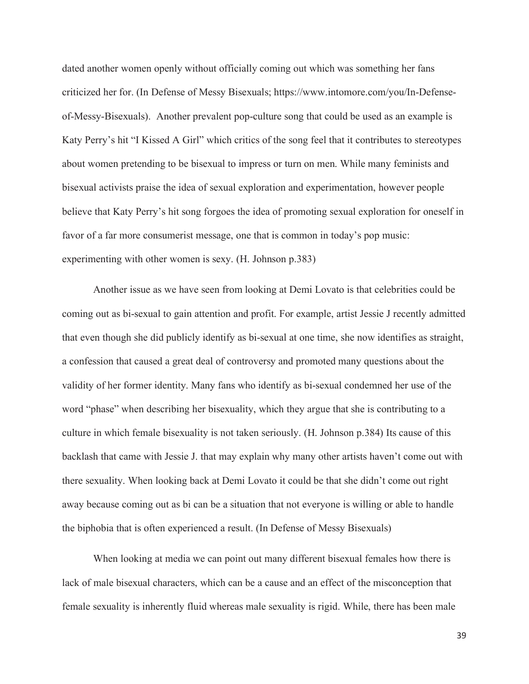dated another women openly without officially coming out which was something her fans criticized her for. (In Defense of Messy Bisexuals; https://www.intomore.com/you/In-Defenseof-Messy-Bisexuals). Another prevalent pop-culture song that could be used as an example is Katy Perry's hit "I Kissed A Girl" which critics of the song feel that it contributes to stereotypes about women pretending to be bisexual to impress or turn on men. While many feminists and bisexual activists praise the idea of sexual exploration and experimentation, however people believe that Katy Perry's hit song forgoes the idea of promoting sexual exploration for oneself in favor of a far more consumerist message, one that is common in today's pop music: experimenting with other women is sexy. (H. Johnson p.383)

 Another issue as we have seen from looking at Demi Lovato is that celebrities could be coming out as bi-sexual to gain attention and profit. For example, artist Jessie J recently admitted that even though she did publicly identify as bi-sexual at one time, she now identifies as straight, a confession that caused a great deal of controversy and promoted many questions about the validity of her former identity. Many fans who identify as bi-sexual condemned her use of the word "phase" when describing her bisexuality, which they argue that she is contributing to a culture in which female bisexuality is not taken seriously. (H. Johnson p.384) Its cause of this backlash that came with Jessie J. that may explain why many other artists haven't come out with there sexuality. When looking back at Demi Lovato it could be that she didn't come out right away because coming out as bi can be a situation that not everyone is willing or able to handle the biphobia that is often experienced a result. (In Defense of Messy Bisexuals)

 When looking at media we can point out many different bisexual females how there is lack of male bisexual characters, which can be a cause and an effect of the misconception that female sexuality is inherently fluid whereas male sexuality is rigid. While, there has been male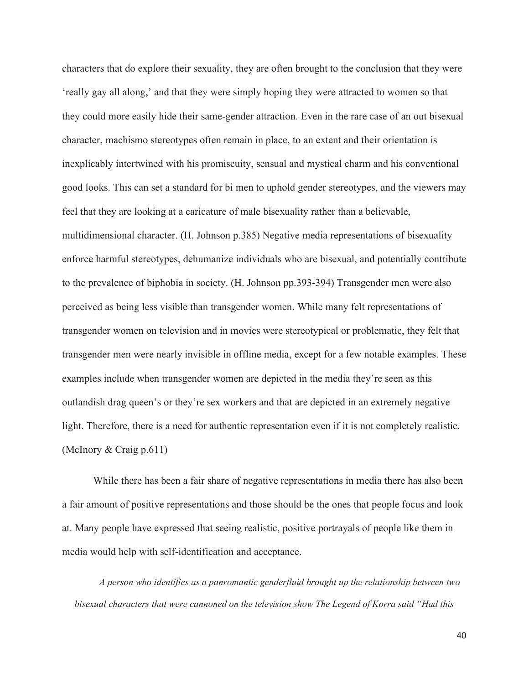characters that do explore their sexuality, they are often brought to the conclusion that they were 'really gay all along,' and that they were simply hoping they were attracted to women so that they could more easily hide their same-gender attraction. Even in the rare case of an out bisexual character, machismo stereotypes often remain in place, to an extent and their orientation is inexplicably intertwined with his promiscuity, sensual and mystical charm and his conventional good looks. This can set a standard for bi men to uphold gender stereotypes, and the viewers may feel that they are looking at a caricature of male bisexuality rather than a believable, multidimensional character. (H. Johnson p.385) Negative media representations of bisexuality enforce harmful stereotypes, dehumanize individuals who are bisexual, and potentially contribute to the prevalence of biphobia in society. (H. Johnson pp.393-394) Transgender men were also perceived as being less visible than transgender women. While many felt representations of transgender women on television and in movies were stereotypical or problematic, they felt that transgender men were nearly invisible in offline media, except for a few notable examples. These examples include when transgender women are depicted in the media they're seen as this outlandish drag queen's or they're sex workers and that are depicted in an extremely negative light. Therefore, there is a need for authentic representation even if it is not completely realistic. (McInory & Craig p.611)

 While there has been a fair share of negative representations in media there has also been a fair amount of positive representations and those should be the ones that people focus and look at. Many people have expressed that seeing realistic, positive portrayals of people like them in media would help with self-identification and acceptance.

*A person who identifies as a panromantic genderfluid brought up the relationship between two bisexual characters that were cannoned on the television show The Legend of Korra said "Had this*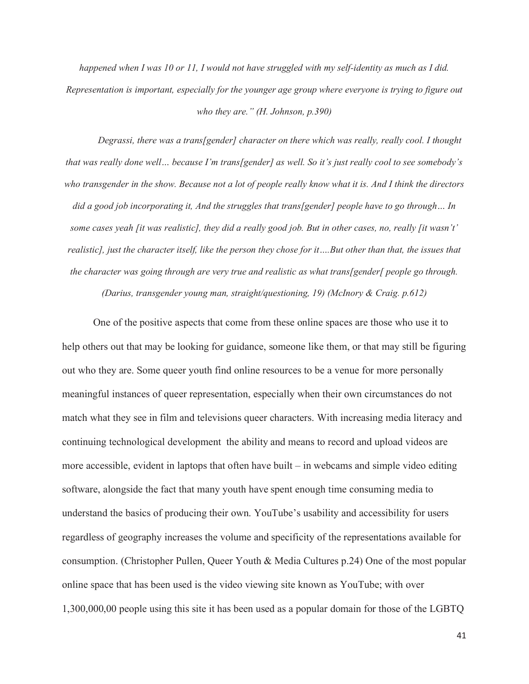*happened when I was 10 or 11, I would not have struggled with my self-identity as much as I did. Representation is important, especially for the younger age group where everyone is trying to figure out who they are." (H. Johnson, p.390)* 

*Degrassi, there was a trans[gender] character on there which was really, really cool. I thought that was really done well… because I'm trans[gender] as well. So it's just really cool to see somebody's who transgender in the show. Because not a lot of people really know what it is. And I think the directors did a good job incorporating it, And the struggles that trans[gender] people have to go through… In some cases yeah [it was realistic], they did a really good job. But in other cases, no, really [it wasn't' realistic], just the character itself, like the person they chose for it....But other than that, the issues that the character was going through are very true and realistic as what trans[gender[ people go through. (Darius, transgender young man, straight/questioning, 19) (McInory & Craig. p.612)* 

One of the positive aspects that come from these online spaces are those who use it to help others out that may be looking for guidance, someone like them, or that may still be figuring out who they are. Some queer youth find online resources to be a venue for more personally meaningful instances of queer representation, especially when their own circumstances do not match what they see in film and televisions queer characters. With increasing media literacy and continuing technological development the ability and means to record and upload videos are more accessible, evident in laptops that often have built – in webcams and simple video editing software, alongside the fact that many youth have spent enough time consuming media to understand the basics of producing their own. YouTube's usability and accessibility for users regardless of geography increases the volume and specificity of the representations available for consumption. (Christopher Pullen, Queer Youth & Media Cultures p.24) One of the most popular online space that has been used is the video viewing site known as YouTube; with over 1,300,000,00 people using this site it has been used as a popular domain for those of the LGBTQ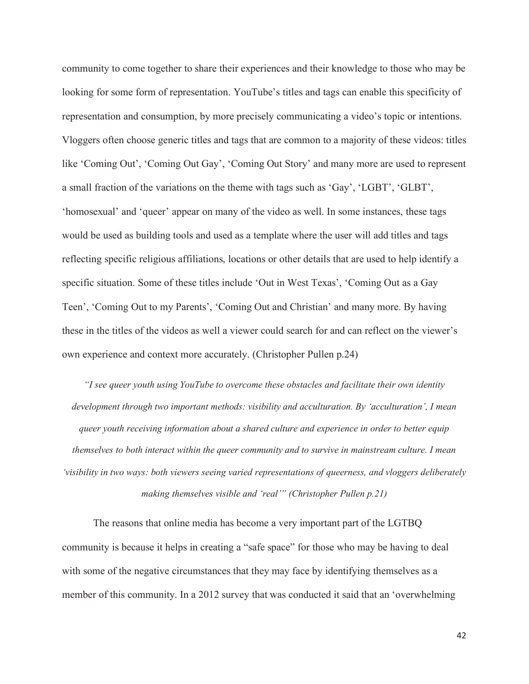community to come together to share their experiences and their knowledge to those who may be looking for some form of representation. YouTube's titles and tags can enable this specificity of representation and consumption, by more precisely communicating a video's topic or intentions. Vloggers often choose generic titles and tags that are common to a majority of these videos: titles like 'Coming Out', 'Coming Out Gay', 'Coming Out Story' and many more are used to represent a small fraction of the variations on the theme with tags such as 'Gay', 'LGBT', 'GLBT', 'homosexual' and 'queer' appear on many of the video as well. In some instances, these tags would be used as building tools and used as a template where the user will add titles and tags reflecting specific religious affiliations, locations or other details that are used to help identify a specific situation. Some of these titles include 'Out in West Texas', 'Coming Out as a Gay Teen', 'Coming Out to my Parents', 'Coming Out and Christian' and many more. By having these in the titles of the videos as well a viewer could search for and can reflect on the viewer's own experience and context more accurately. (Christopher Pullen p.24)

*"I see queer youth using YouTube to overcome these obstacles and facilitate their own identity development through two important methods: visibility and acculturation. By 'acculturation', I mean queer youth receiving information about a shared culture and experience in order to better equip themselves to both interact within the queer community and to survive in mainstream culture. I mean 'visibility in two ways: both viewers seeing varied representations of queerness, and vloggers deliberately making themselves visible and 'real'" (Christopher Pullen p.21)* 

The reasons that online media has become a very important part of the LGTBQ community is because it helps in creating a "safe space" for those who may be having to deal with some of the negative circumstances that they may face by identifying themselves as a member of this community. In a 2012 survey that was conducted it said that an 'overwhelming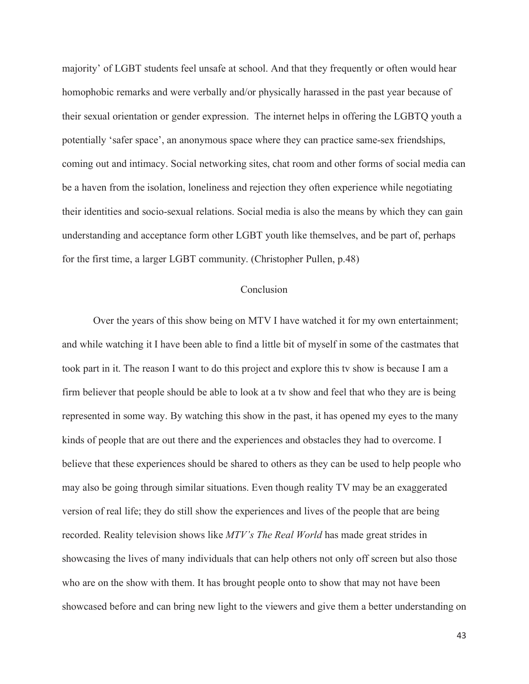majority' of LGBT students feel unsafe at school. And that they frequently or often would hear homophobic remarks and were verbally and/or physically harassed in the past year because of their sexual orientation or gender expression. The internet helps in offering the LGBTQ youth a potentially 'safer space', an anonymous space where they can practice same-sex friendships, coming out and intimacy. Social networking sites, chat room and other forms of social media can be a haven from the isolation, loneliness and rejection they often experience while negotiating their identities and socio-sexual relations. Social media is also the means by which they can gain understanding and acceptance form other LGBT youth like themselves, and be part of, perhaps for the first time, a larger LGBT community. (Christopher Pullen, p.48)

### Conclusion

Over the years of this show being on MTV I have watched it for my own entertainment; and while watching it I have been able to find a little bit of myself in some of the castmates that took part in it. The reason I want to do this project and explore this tv show is because I am a firm believer that people should be able to look at a tv show and feel that who they are is being represented in some way. By watching this show in the past, it has opened my eyes to the many kinds of people that are out there and the experiences and obstacles they had to overcome. I believe that these experiences should be shared to others as they can be used to help people who may also be going through similar situations. Even though reality TV may be an exaggerated version of real life; they do still show the experiences and lives of the people that are being recorded. Reality television shows like *MTV's The Real World* has made great strides in showcasing the lives of many individuals that can help others not only off screen but also those who are on the show with them. It has brought people onto to show that may not have been showcased before and can bring new light to the viewers and give them a better understanding on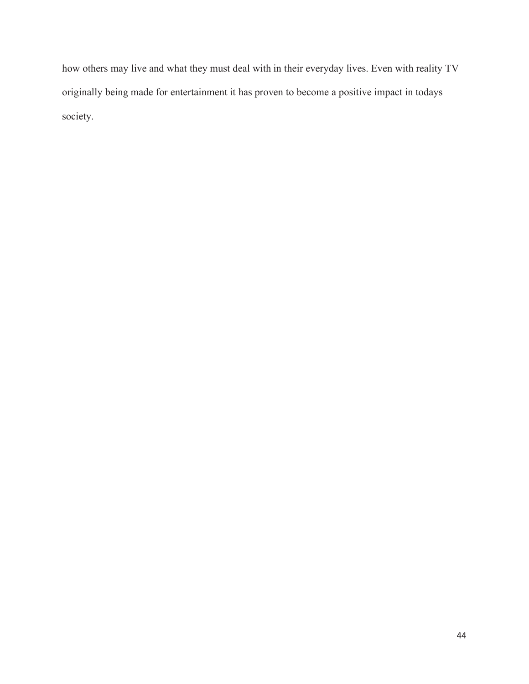how others may live and what they must deal with in their everyday lives. Even with reality TV originally being made for entertainment it has proven to become a positive impact in todays society.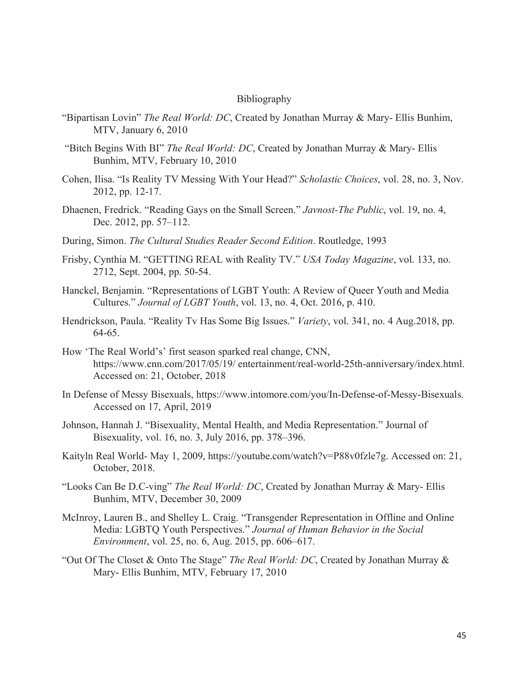#### Bibliography

- "Bipartisan Lovin" *The Real World: DC*, Created by Jonathan Murray & Mary- Ellis Bunhim, MTV, January 6, 2010
- "Bitch Begins With BI" *The Real World: DC*, Created by Jonathan Murray & Mary- Ellis Bunhim, MTV, February 10, 2010
- Cohen, Ilisa. "Is Reality TV Messing With Your Head?" *Scholastic Choices*, vol. 28, no. 3, Nov. 2012, pp. 12-17.
- Dhaenen, Fredrick. "Reading Gays on the Small Screen." *Javnost-The Public*, vol. 19, no. 4, Dec. 2012, pp. 57–112.
- During, Simon. *The Cultural Studies Reader Second Edition*. Routledge, 1993
- Frisby, Cynthia M. "GETTING REAL with Reality TV." *USA Today Magazine*, vol. 133, no. 2712, Sept. 2004, pp. 50-54.
- Hanckel, Benjamin. "Representations of LGBT Youth: A Review of Queer Youth and Media Cultures." *Journal of LGBT Youth*, vol. 13, no. 4, Oct. 2016, p. 410.
- Hendrickson, Paula. "Reality Tv Has Some Big Issues." *Variety*, vol. 341, no. 4 Aug.2018, pp. 64-65.
- How 'The Real World's' first season sparked real change, CNN, https://www.cnn.com/2017/05/19/ entertainment/real-world-25th-anniversary/index.html. Accessed on: 21, October, 2018
- In Defense of Messy Bisexuals, https://www.intomore.com/you/In-Defense-of-Messy-Bisexuals. Accessed on 17, April, 2019
- Johnson, Hannah J. "Bisexuality, Mental Health, and Media Representation." Journal of Bisexuality, vol. 16, no. 3, July 2016, pp. 378–396.
- Kaityln Real World- May 1, 2009, https://youtube.com/watch?v=P88v0fzle7g. Accessed on: 21, October, 2018.
- "Looks Can Be D.C-ving" *The Real World: DC*, Created by Jonathan Murray & Mary- Ellis Bunhim, MTV, December 30, 2009
- McInroy, Lauren B., and Shelley L. Craig. "Transgender Representation in Offline and Online Media: LGBTQ Youth Perspectives." *Journal of Human Behavior in the Social Environment*, vol. 25, no. 6, Aug. 2015, pp. 606–617.
- "Out Of The Closet & Onto The Stage" *The Real World: DC*, Created by Jonathan Murray & Mary- Ellis Bunhim, MTV, February 17, 2010